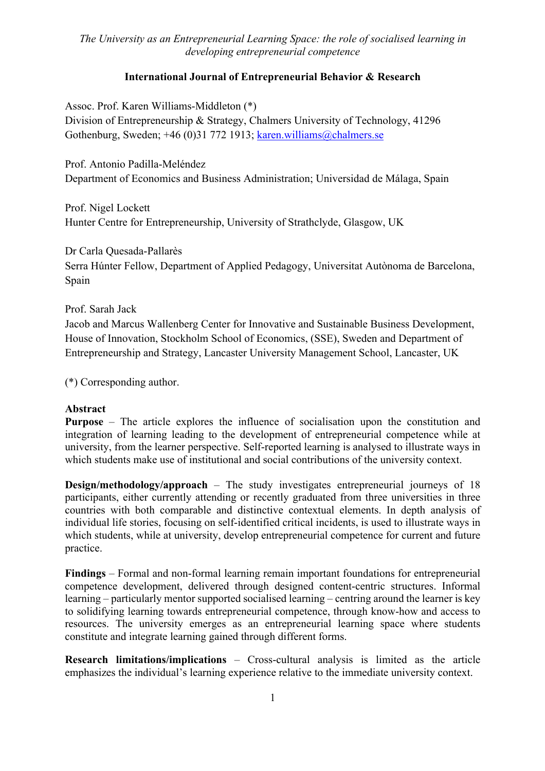### **International Journal of Entrepreneurial Behavior & Research**

Assoc. Prof. Karen Williams-Middleton (\*)

Division of Entrepreneurship & Strategy, Chalmers University of Technology, 41296 Gothenburg, Sweden; +46 (0)31 772 1913; karen.williams@chalmers.se

Prof. Antonio Padilla-Meléndez Department of Economics and Business Administration; Universidad de Málaga, Spain

Prof. Nigel Lockett Hunter Centre for Entrepreneurship, University of Strathclyde, Glasgow, UK

Dr Carla Quesada-Pallarès

Serra Húnter Fellow, Department of Applied Pedagogy, Universitat Autònoma de Barcelona, Spain

### Prof. Sarah Jack

Jacob and Marcus Wallenberg Center for Innovative and Sustainable Business Development, House of Innovation, Stockholm School of Economics, (SSE), Sweden and Department of Entrepreneurship and Strategy, Lancaster University Management School, Lancaster, UK

(\*) Corresponding author.

#### **Abstract**

**Purpose** – The article explores the influence of socialisation upon the constitution and integration of learning leading to the development of entrepreneurial competence while at university, from the learner perspective. Self-reported learning is analysed to illustrate ways in which students make use of institutional and social contributions of the university context.

**Design/methodology/approach** – The study investigates entrepreneurial journeys of 18 participants, either currently attending or recently graduated from three universities in three countries with both comparable and distinctive contextual elements. In depth analysis of individual life stories, focusing on self-identified critical incidents, is used to illustrate ways in which students, while at university, develop entrepreneurial competence for current and future practice.

**Findings** – Formal and non-formal learning remain important foundations for entrepreneurial competence development, delivered through designed content-centric structures. Informal learning – particularly mentor supported socialised learning – centring around the learner is key to solidifying learning towards entrepreneurial competence, through know-how and access to resources. The university emerges as an entrepreneurial learning space where students constitute and integrate learning gained through different forms.

**Research limitations/implications** *–* Cross-cultural analysis is limited as the article emphasizes the individual's learning experience relative to the immediate university context.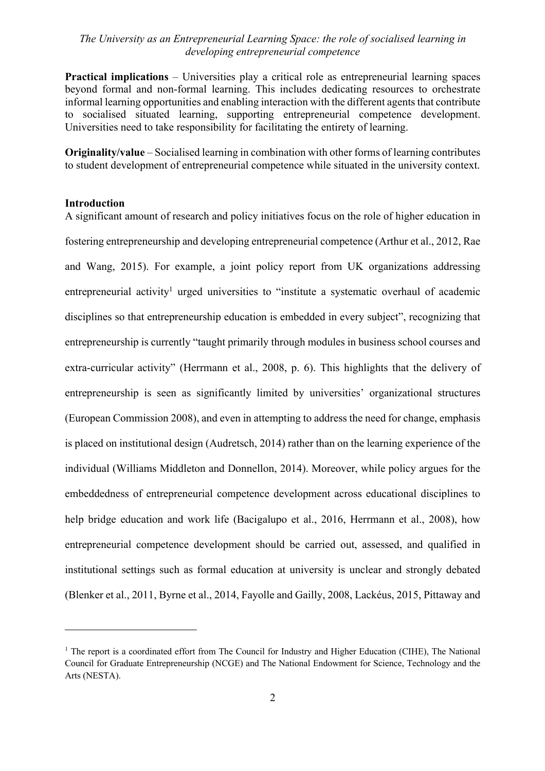**Practical implications** – Universities play a critical role as entrepreneurial learning spaces beyond formal and non-formal learning. This includes dedicating resources to orchestrate informal learning opportunities and enabling interaction with the different agents that contribute to socialised situated learning, supporting entrepreneurial competence development. Universities need to take responsibility for facilitating the entirety of learning.

**Originality/value** – Socialised learning in combination with other forms of learning contributes to student development of entrepreneurial competence while situated in the university context.

#### **Introduction**

A significant amount of research and policy initiatives focus on the role of higher education in fostering entrepreneurship and developing entrepreneurial competence (Arthur et al., 2012, Rae and Wang, 2015). For example, a joint policy report from UK organizations addressing entrepreneurial activity<sup>1</sup> urged universities to "institute a systematic overhaul of academic disciplines so that entrepreneurship education is embedded in every subject", recognizing that entrepreneurship is currently "taught primarily through modules in business school courses and extra-curricular activity" (Herrmann et al., 2008, p. 6). This highlights that the delivery of entrepreneurship is seen as significantly limited by universities' organizational structures (European Commission 2008), and even in attempting to address the need for change, emphasis is placed on institutional design (Audretsch, 2014) rather than on the learning experience of the individual (Williams Middleton and Donnellon, 2014). Moreover, while policy argues for the embeddedness of entrepreneurial competence development across educational disciplines to help bridge education and work life (Bacigalupo et al., 2016, Herrmann et al., 2008), how entrepreneurial competence development should be carried out, assessed, and qualified in institutional settings such as formal education at university is unclear and strongly debated (Blenker et al., 2011, Byrne et al., 2014, Fayolle and Gailly, 2008, Lackéus, 2015, Pittaway and

<sup>&</sup>lt;sup>1</sup> The report is a coordinated effort from The Council for Industry and Higher Education (CIHE), The National Council for Graduate Entrepreneurship (NCGE) and The National Endowment for Science, Technology and the Arts (NESTA).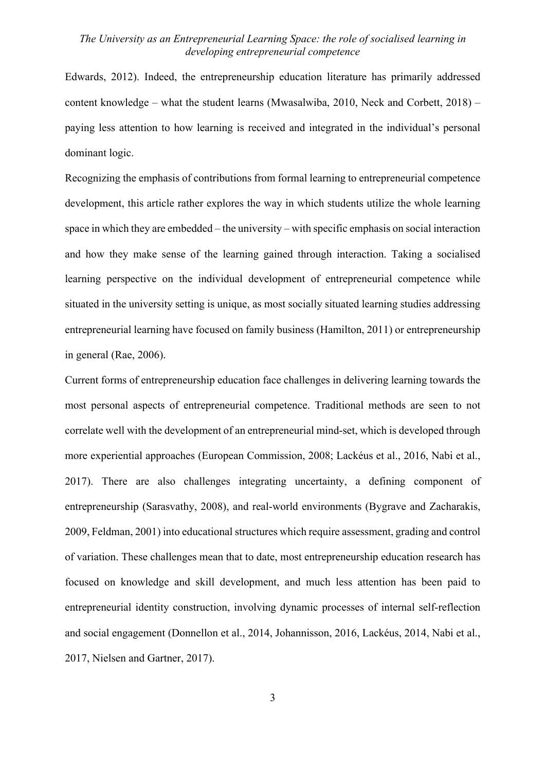Edwards, 2012). Indeed, the entrepreneurship education literature has primarily addressed content knowledge – what the student learns (Mwasalwiba, 2010, Neck and Corbett, 2018) – paying less attention to how learning is received and integrated in the individual's personal dominant logic.

Recognizing the emphasis of contributions from formal learning to entrepreneurial competence development, this article rather explores the way in which students utilize the whole learning space in which they are embedded – the university – with specific emphasis on social interaction and how they make sense of the learning gained through interaction. Taking a socialised learning perspective on the individual development of entrepreneurial competence while situated in the university setting is unique, as most socially situated learning studies addressing entrepreneurial learning have focused on family business (Hamilton, 2011) or entrepreneurship in general (Rae, 2006).

Current forms of entrepreneurship education face challenges in delivering learning towards the most personal aspects of entrepreneurial competence. Traditional methods are seen to not correlate well with the development of an entrepreneurial mind-set, which is developed through more experiential approaches (European Commission, 2008; Lackéus et al., 2016, Nabi et al., 2017). There are also challenges integrating uncertainty, a defining component of entrepreneurship (Sarasvathy, 2008), and real-world environments (Bygrave and Zacharakis, 2009, Feldman, 2001) into educational structures which require assessment, grading and control of variation. These challenges mean that to date, most entrepreneurship education research has focused on knowledge and skill development, and much less attention has been paid to entrepreneurial identity construction, involving dynamic processes of internal self-reflection and social engagement (Donnellon et al., 2014, Johannisson, 2016, Lackéus, 2014, Nabi et al., 2017, Nielsen and Gartner, 2017).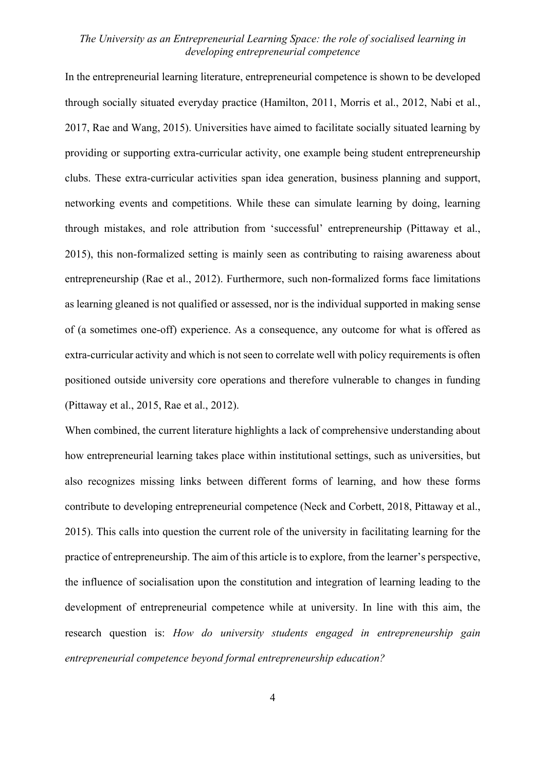In the entrepreneurial learning literature, entrepreneurial competence is shown to be developed through socially situated everyday practice (Hamilton, 2011, Morris et al., 2012, Nabi et al., 2017, Rae and Wang, 2015). Universities have aimed to facilitate socially situated learning by providing or supporting extra-curricular activity, one example being student entrepreneurship clubs. These extra-curricular activities span idea generation, business planning and support, networking events and competitions. While these can simulate learning by doing, learning through mistakes, and role attribution from 'successful' entrepreneurship (Pittaway et al., 2015), this non-formalized setting is mainly seen as contributing to raising awareness about entrepreneurship (Rae et al., 2012). Furthermore, such non-formalized forms face limitations as learning gleaned is not qualified or assessed, nor is the individual supported in making sense of (a sometimes one-off) experience. As a consequence, any outcome for what is offered as extra-curricular activity and which is not seen to correlate well with policy requirements is often positioned outside university core operations and therefore vulnerable to changes in funding (Pittaway et al., 2015, Rae et al., 2012).

When combined, the current literature highlights a lack of comprehensive understanding about how entrepreneurial learning takes place within institutional settings, such as universities, but also recognizes missing links between different forms of learning, and how these forms contribute to developing entrepreneurial competence (Neck and Corbett, 2018, Pittaway et al., 2015). This calls into question the current role of the university in facilitating learning for the practice of entrepreneurship. The aim of this article is to explore, from the learner's perspective, the influence of socialisation upon the constitution and integration of learning leading to the development of entrepreneurial competence while at university. In line with this aim, the research question is: *How do university students engaged in entrepreneurship gain entrepreneurial competence beyond formal entrepreneurship education?*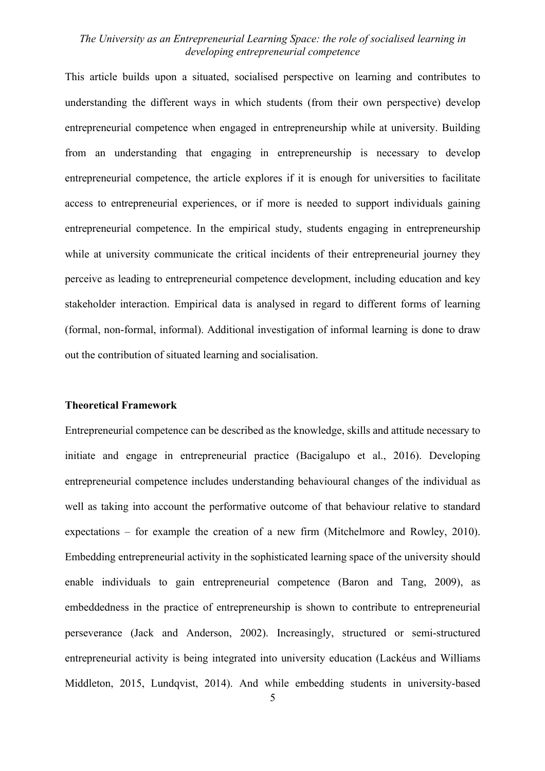This article builds upon a situated, socialised perspective on learning and contributes to understanding the different ways in which students (from their own perspective) develop entrepreneurial competence when engaged in entrepreneurship while at university. Building from an understanding that engaging in entrepreneurship is necessary to develop entrepreneurial competence, the article explores if it is enough for universities to facilitate access to entrepreneurial experiences, or if more is needed to support individuals gaining entrepreneurial competence. In the empirical study, students engaging in entrepreneurship while at university communicate the critical incidents of their entrepreneurial journey they perceive as leading to entrepreneurial competence development, including education and key stakeholder interaction. Empirical data is analysed in regard to different forms of learning (formal, non-formal, informal). Additional investigation of informal learning is done to draw out the contribution of situated learning and socialisation.

#### **Theoretical Framework**

Entrepreneurial competence can be described as the knowledge, skills and attitude necessary to initiate and engage in entrepreneurial practice (Bacigalupo et al., 2016). Developing entrepreneurial competence includes understanding behavioural changes of the individual as well as taking into account the performative outcome of that behaviour relative to standard expectations – for example the creation of a new firm (Mitchelmore and Rowley, 2010). Embedding entrepreneurial activity in the sophisticated learning space of the university should enable individuals to gain entrepreneurial competence (Baron and Tang, 2009), as embeddedness in the practice of entrepreneurship is shown to contribute to entrepreneurial perseverance (Jack and Anderson, 2002). Increasingly, structured or semi-structured entrepreneurial activity is being integrated into university education (Lackéus and Williams Middleton, 2015, Lundqvist, 2014). And while embedding students in university-based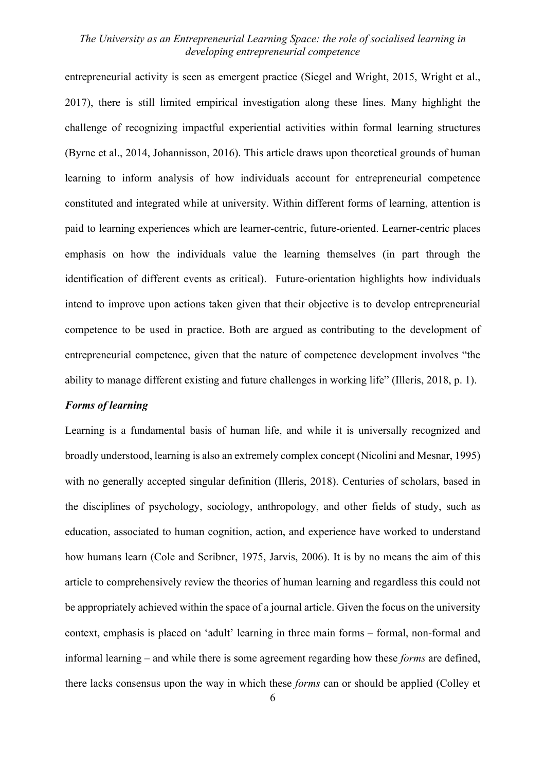entrepreneurial activity is seen as emergent practice (Siegel and Wright, 2015, Wright et al., 2017), there is still limited empirical investigation along these lines. Many highlight the challenge of recognizing impactful experiential activities within formal learning structures (Byrne et al., 2014, Johannisson, 2016). This article draws upon theoretical grounds of human learning to inform analysis of how individuals account for entrepreneurial competence constituted and integrated while at university. Within different forms of learning, attention is paid to learning experiences which are learner-centric, future-oriented. Learner-centric places emphasis on how the individuals value the learning themselves (in part through the identification of different events as critical). Future-orientation highlights how individuals intend to improve upon actions taken given that their objective is to develop entrepreneurial competence to be used in practice. Both are argued as contributing to the development of entrepreneurial competence, given that the nature of competence development involves "the ability to manage different existing and future challenges in working life" (Illeris, 2018, p. 1).

## *Forms of learning*

Learning is a fundamental basis of human life, and while it is universally recognized and broadly understood, learning is also an extremely complex concept (Nicolini and Mesnar, 1995) with no generally accepted singular definition (Illeris, 2018). Centuries of scholars, based in the disciplines of psychology, sociology, anthropology, and other fields of study, such as education, associated to human cognition, action, and experience have worked to understand how humans learn (Cole and Scribner, 1975, Jarvis, 2006). It is by no means the aim of this article to comprehensively review the theories of human learning and regardless this could not be appropriately achieved within the space of a journal article. Given the focus on the university context, emphasis is placed on 'adult' learning in three main forms – formal, non-formal and informal learning – and while there is some agreement regarding how these *forms* are defined, there lacks consensus upon the way in which these *forms* can or should be applied (Colley et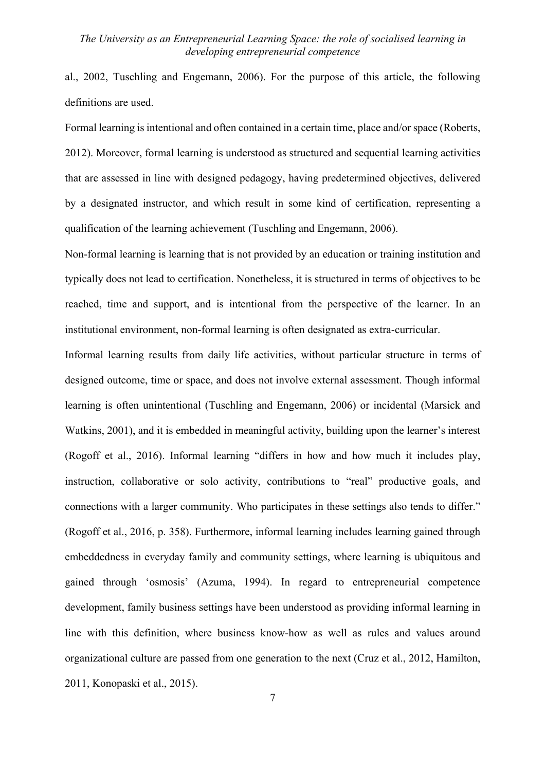al., 2002, Tuschling and Engemann, 2006). For the purpose of this article, the following definitions are used.

Formal learning is intentional and often contained in a certain time, place and/or space (Roberts, 2012). Moreover, formal learning is understood as structured and sequential learning activities that are assessed in line with designed pedagogy, having predetermined objectives, delivered by a designated instructor, and which result in some kind of certification, representing a qualification of the learning achievement (Tuschling and Engemann, 2006).

Non-formal learning is learning that is not provided by an education or training institution and typically does not lead to certification. Nonetheless, it is structured in terms of objectives to be reached, time and support, and is intentional from the perspective of the learner. In an institutional environment, non-formal learning is often designated as extra-curricular.

Informal learning results from daily life activities, without particular structure in terms of designed outcome, time or space, and does not involve external assessment. Though informal learning is often unintentional (Tuschling and Engemann, 2006) or incidental (Marsick and Watkins, 2001), and it is embedded in meaningful activity, building upon the learner's interest (Rogoff et al., 2016). Informal learning "differs in how and how much it includes play, instruction, collaborative or solo activity, contributions to "real" productive goals, and connections with a larger community. Who participates in these settings also tends to differ." (Rogoff et al., 2016, p. 358). Furthermore, informal learning includes learning gained through embeddedness in everyday family and community settings, where learning is ubiquitous and gained through 'osmosis' (Azuma, 1994). In regard to entrepreneurial competence development, family business settings have been understood as providing informal learning in line with this definition, where business know-how as well as rules and values around organizational culture are passed from one generation to the next (Cruz et al., 2012, Hamilton, 2011, Konopaski et al., 2015).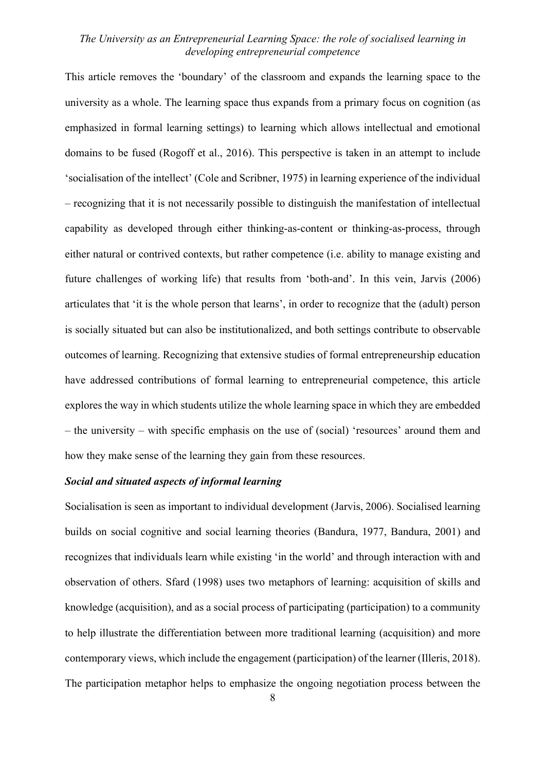This article removes the 'boundary' of the classroom and expands the learning space to the university as a whole. The learning space thus expands from a primary focus on cognition (as emphasized in formal learning settings) to learning which allows intellectual and emotional domains to be fused (Rogoff et al., 2016). This perspective is taken in an attempt to include 'socialisation of the intellect' (Cole and Scribner, 1975) in learning experience of the individual – recognizing that it is not necessarily possible to distinguish the manifestation of intellectual capability as developed through either thinking-as-content or thinking-as-process, through either natural or contrived contexts, but rather competence (i.e. ability to manage existing and future challenges of working life) that results from 'both-and'. In this vein, Jarvis (2006) articulates that 'it is the whole person that learns', in order to recognize that the (adult) person is socially situated but can also be institutionalized, and both settings contribute to observable outcomes of learning. Recognizing that extensive studies of formal entrepreneurship education have addressed contributions of formal learning to entrepreneurial competence, this article explores the way in which students utilize the whole learning space in which they are embedded – the university – with specific emphasis on the use of (social) 'resources' around them and how they make sense of the learning they gain from these resources.

#### *Social and situated aspects of informal learning*

Socialisation is seen as important to individual development (Jarvis, 2006). Socialised learning builds on social cognitive and social learning theories (Bandura, 1977, Bandura, 2001) and recognizes that individuals learn while existing 'in the world' and through interaction with and observation of others. Sfard (1998) uses two metaphors of learning: acquisition of skills and knowledge (acquisition), and as a social process of participating (participation) to a community to help illustrate the differentiation between more traditional learning (acquisition) and more contemporary views, which include the engagement (participation) of the learner (Illeris, 2018). The participation metaphor helps to emphasize the ongoing negotiation process between the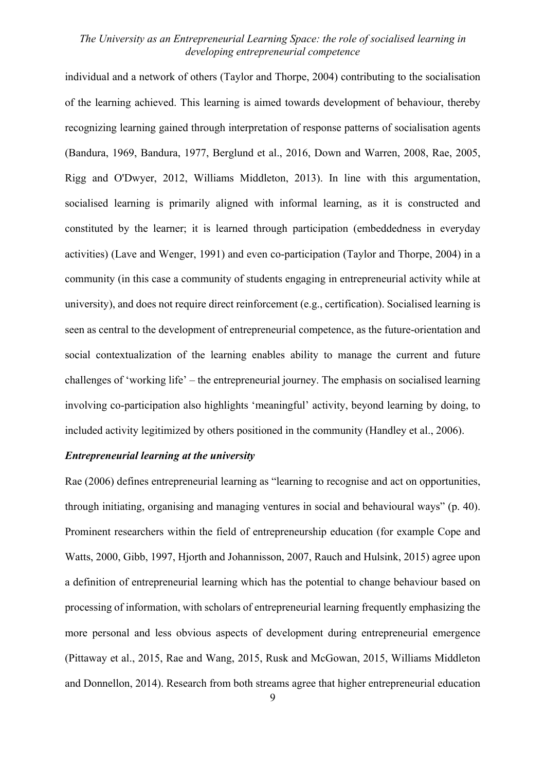individual and a network of others (Taylor and Thorpe, 2004) contributing to the socialisation of the learning achieved. This learning is aimed towards development of behaviour, thereby recognizing learning gained through interpretation of response patterns of socialisation agents (Bandura, 1969, Bandura, 1977, Berglund et al., 2016, Down and Warren, 2008, Rae, 2005, Rigg and O'Dwyer, 2012, Williams Middleton, 2013). In line with this argumentation, socialised learning is primarily aligned with informal learning, as it is constructed and constituted by the learner; it is learned through participation (embeddedness in everyday activities) (Lave and Wenger, 1991) and even co-participation (Taylor and Thorpe, 2004) in a community (in this case a community of students engaging in entrepreneurial activity while at university), and does not require direct reinforcement (e.g., certification). Socialised learning is seen as central to the development of entrepreneurial competence, as the future-orientation and social contextualization of the learning enables ability to manage the current and future challenges of 'working life' – the entrepreneurial journey. The emphasis on socialised learning involving co-participation also highlights 'meaningful' activity, beyond learning by doing, to included activity legitimized by others positioned in the community (Handley et al., 2006).

### *Entrepreneurial learning at the university*

Rae (2006) defines entrepreneurial learning as "learning to recognise and act on opportunities, through initiating, organising and managing ventures in social and behavioural ways" (p. 40). Prominent researchers within the field of entrepreneurship education (for example Cope and Watts, 2000, Gibb, 1997, Hjorth and Johannisson, 2007, Rauch and Hulsink, 2015) agree upon a definition of entrepreneurial learning which has the potential to change behaviour based on processing of information, with scholars of entrepreneurial learning frequently emphasizing the more personal and less obvious aspects of development during entrepreneurial emergence (Pittaway et al., 2015, Rae and Wang, 2015, Rusk and McGowan, 2015, Williams Middleton and Donnellon, 2014). Research from both streams agree that higher entrepreneurial education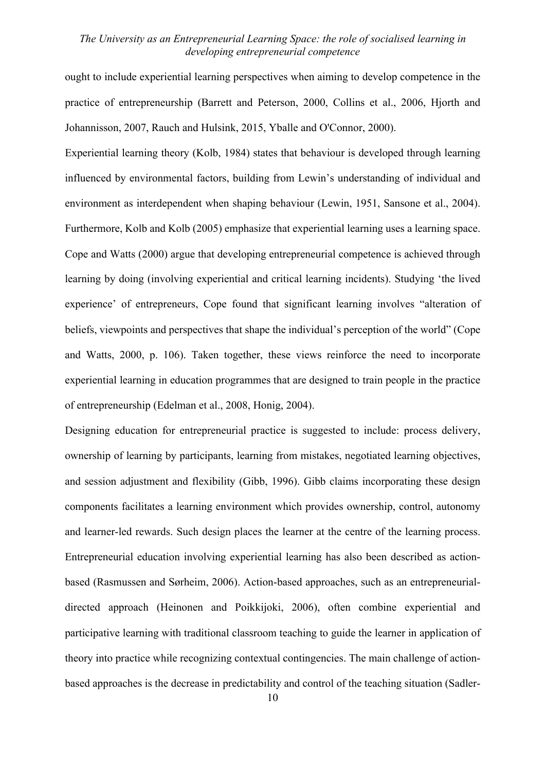ought to include experiential learning perspectives when aiming to develop competence in the practice of entrepreneurship (Barrett and Peterson, 2000, Collins et al., 2006, Hjorth and Johannisson, 2007, Rauch and Hulsink, 2015, Yballe and O'Connor, 2000).

Experiential learning theory (Kolb, 1984) states that behaviour is developed through learning influenced by environmental factors, building from Lewin's understanding of individual and environment as interdependent when shaping behaviour (Lewin, 1951, Sansone et al., 2004). Furthermore, Kolb and Kolb (2005) emphasize that experiential learning uses a learning space. Cope and Watts (2000) argue that developing entrepreneurial competence is achieved through learning by doing (involving experiential and critical learning incidents). Studying 'the lived experience' of entrepreneurs, Cope found that significant learning involves "alteration of beliefs, viewpoints and perspectives that shape the individual's perception of the world" (Cope and Watts, 2000, p. 106). Taken together, these views reinforce the need to incorporate experiential learning in education programmes that are designed to train people in the practice of entrepreneurship (Edelman et al., 2008, Honig, 2004).

Designing education for entrepreneurial practice is suggested to include: process delivery, ownership of learning by participants, learning from mistakes, negotiated learning objectives, and session adjustment and flexibility (Gibb, 1996). Gibb claims incorporating these design components facilitates a learning environment which provides ownership, control, autonomy and learner-led rewards. Such design places the learner at the centre of the learning process. Entrepreneurial education involving experiential learning has also been described as actionbased (Rasmussen and Sørheim, 2006). Action-based approaches, such as an entrepreneurialdirected approach (Heinonen and Poikkijoki, 2006), often combine experiential and participative learning with traditional classroom teaching to guide the learner in application of theory into practice while recognizing contextual contingencies. The main challenge of actionbased approaches is the decrease in predictability and control of the teaching situation (Sadler-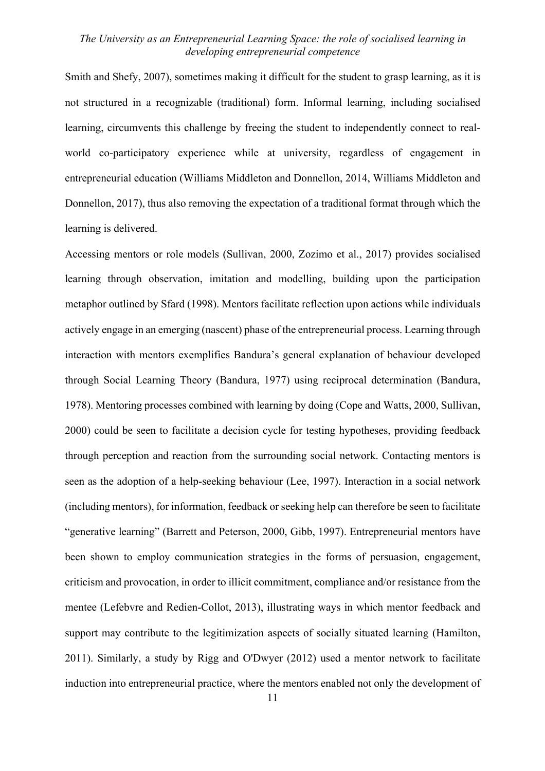Smith and Shefy, 2007), sometimes making it difficult for the student to grasp learning, as it is not structured in a recognizable (traditional) form. Informal learning, including socialised learning, circumvents this challenge by freeing the student to independently connect to realworld co-participatory experience while at university, regardless of engagement in entrepreneurial education (Williams Middleton and Donnellon, 2014, Williams Middleton and Donnellon, 2017), thus also removing the expectation of a traditional format through which the learning is delivered.

Accessing mentors or role models (Sullivan, 2000, Zozimo et al., 2017) provides socialised learning through observation, imitation and modelling, building upon the participation metaphor outlined by Sfard (1998). Mentors facilitate reflection upon actions while individuals actively engage in an emerging (nascent) phase of the entrepreneurial process. Learning through interaction with mentors exemplifies Bandura's general explanation of behaviour developed through Social Learning Theory (Bandura, 1977) using reciprocal determination (Bandura, 1978). Mentoring processes combined with learning by doing (Cope and Watts, 2000, Sullivan, 2000) could be seen to facilitate a decision cycle for testing hypotheses, providing feedback through perception and reaction from the surrounding social network. Contacting mentors is seen as the adoption of a help-seeking behaviour (Lee, 1997). Interaction in a social network (including mentors), for information, feedback or seeking help can therefore be seen to facilitate "generative learning" (Barrett and Peterson, 2000, Gibb, 1997). Entrepreneurial mentors have been shown to employ communication strategies in the forms of persuasion, engagement, criticism and provocation, in order to illicit commitment, compliance and/or resistance from the mentee (Lefebvre and Redien-Collot, 2013), illustrating ways in which mentor feedback and support may contribute to the legitimization aspects of socially situated learning (Hamilton, 2011). Similarly, a study by Rigg and O'Dwyer (2012) used a mentor network to facilitate induction into entrepreneurial practice, where the mentors enabled not only the development of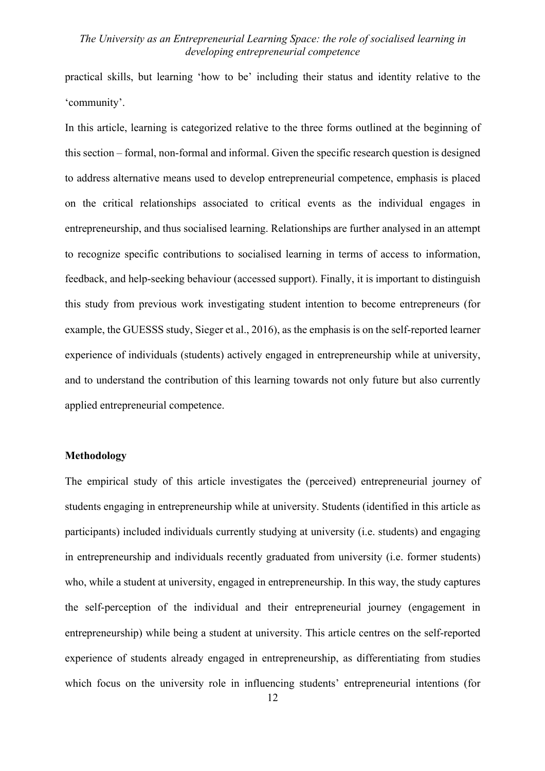practical skills, but learning 'how to be' including their status and identity relative to the 'community'.

In this article, learning is categorized relative to the three forms outlined at the beginning of this section – formal, non-formal and informal. Given the specific research question is designed to address alternative means used to develop entrepreneurial competence, emphasis is placed on the critical relationships associated to critical events as the individual engages in entrepreneurship, and thus socialised learning. Relationships are further analysed in an attempt to recognize specific contributions to socialised learning in terms of access to information, feedback, and help-seeking behaviour (accessed support). Finally, it is important to distinguish this study from previous work investigating student intention to become entrepreneurs (for example, the GUESSS study, Sieger et al., 2016), as the emphasis is on the self-reported learner experience of individuals (students) actively engaged in entrepreneurship while at university, and to understand the contribution of this learning towards not only future but also currently applied entrepreneurial competence.

#### **Methodology**

The empirical study of this article investigates the (perceived) entrepreneurial journey of students engaging in entrepreneurship while at university. Students (identified in this article as participants) included individuals currently studying at university (i.e. students) and engaging in entrepreneurship and individuals recently graduated from university (i.e. former students) who, while a student at university, engaged in entrepreneurship. In this way, the study captures the self-perception of the individual and their entrepreneurial journey (engagement in entrepreneurship) while being a student at university. This article centres on the self-reported experience of students already engaged in entrepreneurship, as differentiating from studies which focus on the university role in influencing students' entrepreneurial intentions (for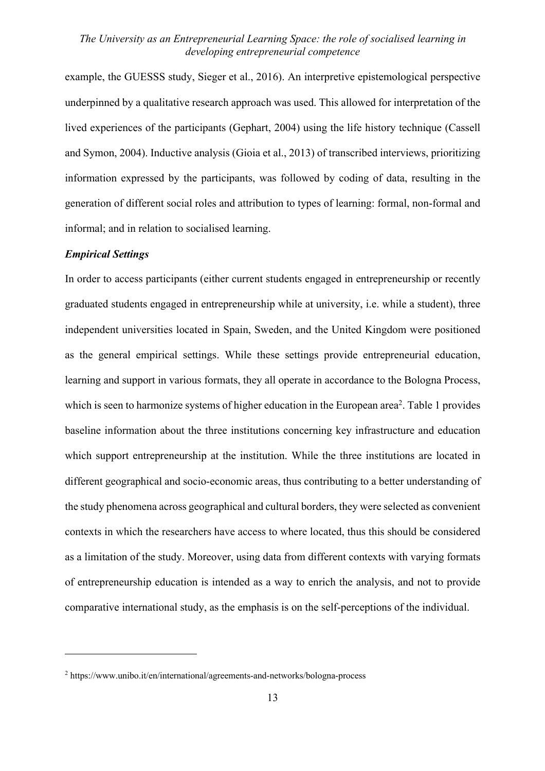example, the GUESSS study, Sieger et al., 2016). An interpretive epistemological perspective underpinned by a qualitative research approach was used. This allowed for interpretation of the lived experiences of the participants (Gephart, 2004) using the life history technique (Cassell and Symon, 2004). Inductive analysis (Gioia et al., 2013) of transcribed interviews, prioritizing information expressed by the participants, was followed by coding of data, resulting in the generation of different social roles and attribution to types of learning: formal, non-formal and informal; and in relation to socialised learning.

#### *Empirical Settings*

In order to access participants (either current students engaged in entrepreneurship or recently graduated students engaged in entrepreneurship while at university, i.e. while a student), three independent universities located in Spain, Sweden, and the United Kingdom were positioned as the general empirical settings. While these settings provide entrepreneurial education, learning and support in various formats, they all operate in accordance to the Bologna Process, which is seen to harmonize systems of higher education in the European area<sup>2</sup>. Table 1 provides baseline information about the three institutions concerning key infrastructure and education which support entrepreneurship at the institution. While the three institutions are located in different geographical and socio-economic areas, thus contributing to a better understanding of the study phenomena across geographical and cultural borders, they were selected as convenient contexts in which the researchers have access to where located, thus this should be considered as a limitation of the study. Moreover, using data from different contexts with varying formats of entrepreneurship education is intended as a way to enrich the analysis, and not to provide comparative international study, as the emphasis is on the self-perceptions of the individual.

<sup>2</sup> https://www.unibo.it/en/international/agreements-and-networks/bologna-process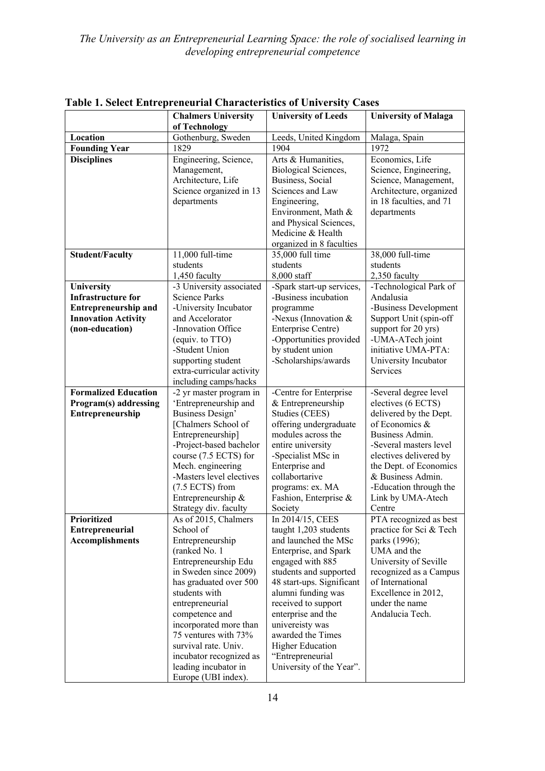|                                                           | <b>Chalmers University</b>                                                                           | <b>University of Leeds</b>                                                                                                | <b>University of Malaga</b>                                                                                                           |
|-----------------------------------------------------------|------------------------------------------------------------------------------------------------------|---------------------------------------------------------------------------------------------------------------------------|---------------------------------------------------------------------------------------------------------------------------------------|
|                                                           | of Technology                                                                                        |                                                                                                                           |                                                                                                                                       |
| Location                                                  | Gothenburg, Sweden                                                                                   | Leeds, United Kingdom                                                                                                     | Malaga, Spain                                                                                                                         |
| <b>Founding Year</b>                                      | 1829                                                                                                 | 1904                                                                                                                      | 1972                                                                                                                                  |
| <b>Disciplines</b>                                        | Engineering, Science,<br>Management,<br>Architecture, Life<br>Science organized in 13<br>departments | Arts & Humanities,<br>Biological Sciences,<br>Business, Social<br>Sciences and Law<br>Engineering,<br>Environment, Math & | Economics, Life<br>Science, Engineering,<br>Science, Management,<br>Architecture, organized<br>in 18 faculties, and 71<br>departments |
|                                                           |                                                                                                      | and Physical Sciences,<br>Medicine & Health<br>organized in 8 faculties                                                   |                                                                                                                                       |
| <b>Student/Faculty</b>                                    | 11,000 full-time<br>students                                                                         | 35,000 full time<br>students                                                                                              | 38,000 full-time<br>students                                                                                                          |
|                                                           | 1,450 faculty                                                                                        | 8,000 staff                                                                                                               | 2,350 faculty                                                                                                                         |
| University                                                | -3 University associated                                                                             | -Spark start-up services,                                                                                                 | -Technological Park of                                                                                                                |
| <b>Infrastructure for</b>                                 | <b>Science Parks</b>                                                                                 | -Business incubation                                                                                                      | Andalusia                                                                                                                             |
| <b>Entrepreneurship and</b><br><b>Innovation Activity</b> | -University Incubator<br>and Accelorator                                                             | programme<br>-Nexus (Innovation $&$                                                                                       | -Business Development<br>Support Unit (spin-off                                                                                       |
| (non-education)                                           | -Innovation Office                                                                                   | Enterprise Centre)                                                                                                        | support for 20 yrs)                                                                                                                   |
|                                                           | (equiv. to TTO)                                                                                      | -Opportunities provided                                                                                                   | -UMA-ATech joint                                                                                                                      |
|                                                           | -Student Union                                                                                       | by student union                                                                                                          | initiative UMA-PTA:                                                                                                                   |
|                                                           | supporting student                                                                                   | -Scholarships/awards                                                                                                      | University Incubator                                                                                                                  |
|                                                           | extra-curricular activity                                                                            |                                                                                                                           | Services                                                                                                                              |
|                                                           | including camps/hacks                                                                                |                                                                                                                           |                                                                                                                                       |
| <b>Formalized Education</b>                               | -2 yr master program in                                                                              | -Centre for Enterprise                                                                                                    | -Several degree level                                                                                                                 |
| Program(s) addressing                                     | 'Entrepreneurship and                                                                                | & Entrepreneurship                                                                                                        | electives (6 ECTS)                                                                                                                    |
| Entrepreneurship                                          | Business Design'                                                                                     | Studies (CEES)                                                                                                            | delivered by the Dept.<br>of Economics &                                                                                              |
|                                                           | [Chalmers School of<br>Entrepreneurship]                                                             | offering undergraduate<br>modules across the                                                                              | Business Admin.                                                                                                                       |
|                                                           | -Project-based bachelor                                                                              | entire university                                                                                                         | -Several masters level                                                                                                                |
|                                                           | course (7.5 ECTS) for                                                                                | -Specialist MSc in                                                                                                        | electives delivered by                                                                                                                |
|                                                           | Mech. engineering                                                                                    | Enterprise and                                                                                                            | the Dept. of Economics                                                                                                                |
|                                                           | -Masters level electives                                                                             | collabortarive                                                                                                            | & Business Admin.                                                                                                                     |
|                                                           | $(7.5 ECTS)$ from                                                                                    | programs: ex. MA                                                                                                          | -Education through the                                                                                                                |
|                                                           | Entrepreneurship &                                                                                   | Fashion, Enterprise &                                                                                                     | Link by UMA-Atech                                                                                                                     |
|                                                           | Strategy div. faculty                                                                                | Society                                                                                                                   | Centre                                                                                                                                |
| Prioritized                                               | As of 2015, Chalmers                                                                                 | In 2014/15, CEES                                                                                                          | PTA recognized as best                                                                                                                |
| <b>Entrepreneurial</b><br><b>Accomplishments</b>          | School of                                                                                            | taught 1,203 students<br>and launched the MSc                                                                             | practice for Sci & Tech                                                                                                               |
|                                                           | Entrepreneurship<br>(ranked No. 1)                                                                   | Enterprise, and Spark                                                                                                     | parks (1996);<br>UMA and the                                                                                                          |
|                                                           | Entrepreneurship Edu                                                                                 | engaged with 885                                                                                                          | University of Seville                                                                                                                 |
|                                                           | in Sweden since 2009)                                                                                | students and supported                                                                                                    | recognized as a Campus                                                                                                                |
|                                                           | has graduated over 500                                                                               | 48 start-ups. Significant                                                                                                 | of International                                                                                                                      |
|                                                           | students with                                                                                        | alumni funding was                                                                                                        | Excellence in 2012,                                                                                                                   |
|                                                           | entrepreneurial                                                                                      | received to support                                                                                                       | under the name                                                                                                                        |
|                                                           | competence and                                                                                       | enterprise and the                                                                                                        | Andalucia Tech.                                                                                                                       |
|                                                           | incorporated more than                                                                               | univereisty was                                                                                                           |                                                                                                                                       |
|                                                           | 75 ventures with 73%                                                                                 | awarded the Times                                                                                                         |                                                                                                                                       |
|                                                           | survival rate. Univ.<br>incubator recognized as                                                      | <b>Higher Education</b><br>"Entrepreneurial                                                                               |                                                                                                                                       |
|                                                           | leading incubator in                                                                                 | University of the Year".                                                                                                  |                                                                                                                                       |
|                                                           | Europe (UBI index).                                                                                  |                                                                                                                           |                                                                                                                                       |

**Table 1. Select Entrepreneurial Characteristics of University Cases**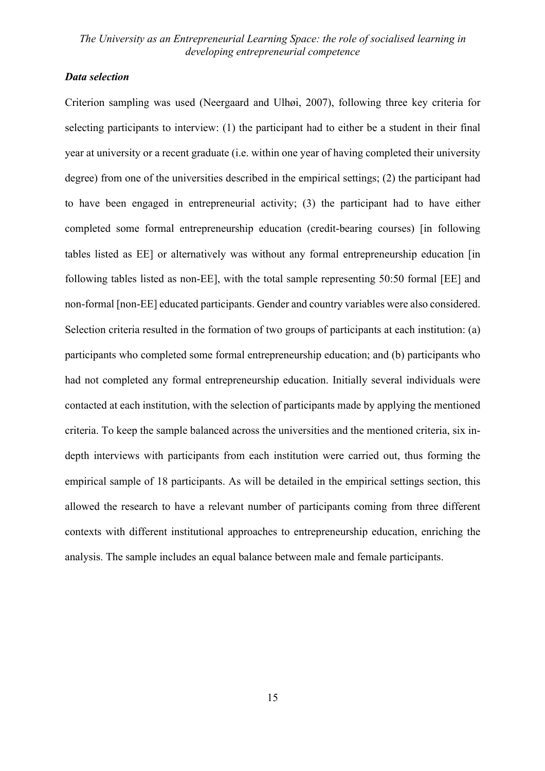#### *Data selection*

Criterion sampling was used (Neergaard and Ulhøi, 2007), following three key criteria for selecting participants to interview: (1) the participant had to either be a student in their final year at university or a recent graduate (i.e. within one year of having completed their university degree) from one of the universities described in the empirical settings; (2) the participant had to have been engaged in entrepreneurial activity; (3) the participant had to have either completed some formal entrepreneurship education (credit-bearing courses) [in following tables listed as EE] or alternatively was without any formal entrepreneurship education [in following tables listed as non-EE], with the total sample representing 50:50 formal [EE] and non-formal [non-EE] educated participants. Gender and country variables were also considered. Selection criteria resulted in the formation of two groups of participants at each institution: (a) participants who completed some formal entrepreneurship education; and (b) participants who had not completed any formal entrepreneurship education. Initially several individuals were contacted at each institution, with the selection of participants made by applying the mentioned criteria. To keep the sample balanced across the universities and the mentioned criteria, six indepth interviews with participants from each institution were carried out, thus forming the empirical sample of 18 participants. As will be detailed in the empirical settings section, this allowed the research to have a relevant number of participants coming from three different contexts with different institutional approaches to entrepreneurship education, enriching the analysis. The sample includes an equal balance between male and female participants.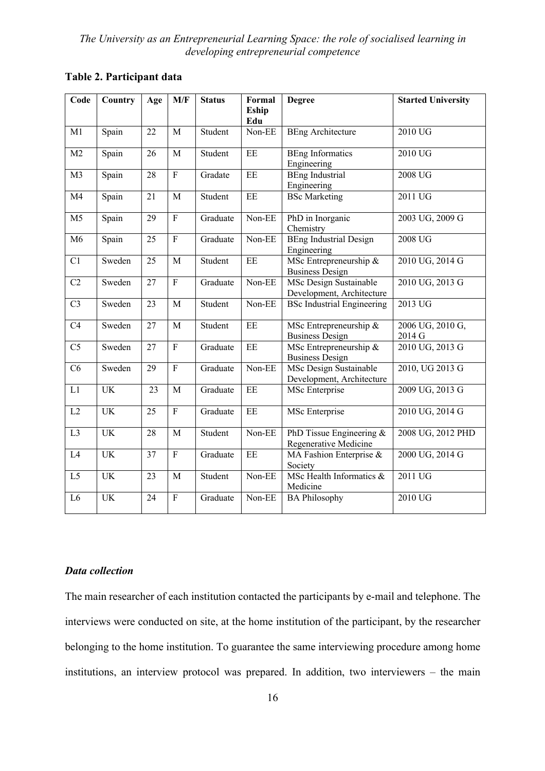| Code           | Country   | Age             | M/F                       | <b>Status</b>          | Formal<br><b>Eship</b> | <b>Degree</b>                                       | <b>Started University</b>  |
|----------------|-----------|-----------------|---------------------------|------------------------|------------------------|-----------------------------------------------------|----------------------------|
|                |           |                 |                           |                        | Edu                    |                                                     |                            |
| M1             | Spain     | 22              | $\mathbf M$               | Student                | Non-EE                 | <b>BEng Architecture</b>                            | 2010 UG                    |
| M <sub>2</sub> | Spain     | 26              | M                         | Student                | EE                     | <b>BEng Informatics</b><br>Engineering              | 2010 UG                    |
| M <sub>3</sub> | Spain     | 28              | $\overline{F}$            | Gradate                | EE                     | <b>BEng Industrial</b><br>Engineering               | 2008 UG                    |
| M <sub>4</sub> | Spain     | 21              | $\mathbf{M}$              | Student                | EE                     | <b>BSc Marketing</b>                                | 2011 UG                    |
| M <sub>5</sub> | Spain     | 29              | $\overline{F}$            | Graduate               | Non-EE                 | PhD in Inorganic<br>Chemistry                       | 2003 UG, 2009 G            |
| M <sub>6</sub> | Spain     | 25              | $\overline{F}$            | Graduate               | Non-EE                 | <b>BEng Industrial Design</b><br>Engineering        | 2008 UG                    |
| C1             | Sweden    | $\overline{25}$ | M                         | Student                | EE                     | MSc Entrepreneurship &<br><b>Business Design</b>    | 2010 UG, 2014 G            |
| C2             | Sweden    | 27              | $\overline{F}$            | $\overline{G}$ raduate | Non-EE                 | MSc Design Sustainable<br>Development, Architecture | 2010 UG, 2013 G            |
| C <sub>3</sub> | Sweden    | 23              | M                         | Student                | Non-EE                 | <b>BSc Industrial Engineering</b>                   | 2013 UG                    |
| C4             | Sweden    | 27              | $\mathbf{M}$              | Student                | $\rm{EE}$              | MSc Entrepreneurship &<br><b>Business Design</b>    | 2006 UG, 2010 G,<br>2014 G |
| C <sub>5</sub> | Sweden    | 27              | $\mathbf F$               | Graduate               | $\rm{EE}$              | MSc Entrepreneurship $\&$<br><b>Business Design</b> | 2010 UG, 2013 G            |
| C6             | Sweden    | 29              | $\overline{F}$            | Graduate               | Non-EE                 | MSc Design Sustainable<br>Development, Architecture | 2010, UG 2013 G            |
| L1             | <b>UK</b> | 23              | M                         | Graduate               | $\rm{EE}$              | MSc Enterprise                                      | 2009 UG, 2013 G            |
| L2             | <b>UK</b> | 25              | $\overline{F}$            | Graduate               | EE                     | MSc Enterprise                                      | 2010 UG, 2014 G            |
| L <sub>3</sub> | <b>UK</b> | 28              | M                         | Student                | Non-EE                 | PhD Tissue Engineering &<br>Regenerative Medicine   | 2008 UG, 2012 PHD          |
| L4             | <b>UK</b> | $\overline{37}$ | $\overline{F}$            | Graduate               | E                      | MA Fashion Enterprise &<br>Society                  | 2000 UG, 2014 G            |
| L <sub>5</sub> | <b>UK</b> | 23              | M                         | Student                | Non-EE                 | MSc Health Informatics &<br>Medicine                | 2011 UG                    |
| L <sub>6</sub> | <b>UK</b> | 24              | $\boldsymbol{\mathrm{F}}$ | Graduate               | Non-EE                 | <b>BA Philosophy</b>                                | 2010 UG                    |

# **Table 2. Participant data**

#### *Data collection*

The main researcher of each institution contacted the participants by e-mail and telephone. The interviews were conducted on site, at the home institution of the participant, by the researcher belonging to the home institution. To guarantee the same interviewing procedure among home institutions, an interview protocol was prepared. In addition, two interviewers – the main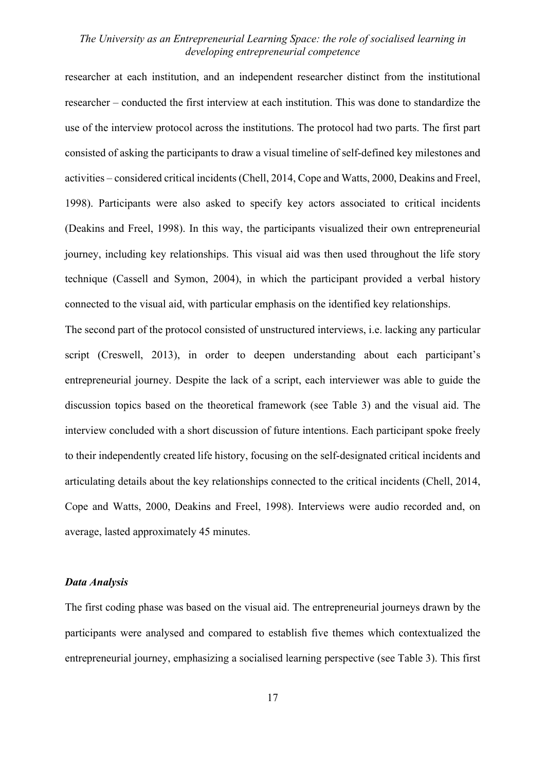researcher at each institution, and an independent researcher distinct from the institutional researcher – conducted the first interview at each institution. This was done to standardize the use of the interview protocol across the institutions. The protocol had two parts. The first part consisted of asking the participants to draw a visual timeline of self-defined key milestones and activities – considered critical incidents (Chell, 2014, Cope and Watts, 2000, Deakins and Freel, 1998). Participants were also asked to specify key actors associated to critical incidents (Deakins and Freel, 1998). In this way, the participants visualized their own entrepreneurial journey, including key relationships. This visual aid was then used throughout the life story technique (Cassell and Symon, 2004), in which the participant provided a verbal history connected to the visual aid, with particular emphasis on the identified key relationships.

The second part of the protocol consisted of unstructured interviews, i.e. lacking any particular script (Creswell, 2013), in order to deepen understanding about each participant's entrepreneurial journey. Despite the lack of a script, each interviewer was able to guide the discussion topics based on the theoretical framework (see Table 3) and the visual aid. The interview concluded with a short discussion of future intentions. Each participant spoke freely to their independently created life history, focusing on the self-designated critical incidents and articulating details about the key relationships connected to the critical incidents (Chell, 2014, Cope and Watts, 2000, Deakins and Freel, 1998). Interviews were audio recorded and, on average, lasted approximately 45 minutes.

#### *Data Analysis*

The first coding phase was based on the visual aid. The entrepreneurial journeys drawn by the participants were analysed and compared to establish five themes which contextualized the entrepreneurial journey, emphasizing a socialised learning perspective (see Table 3). This first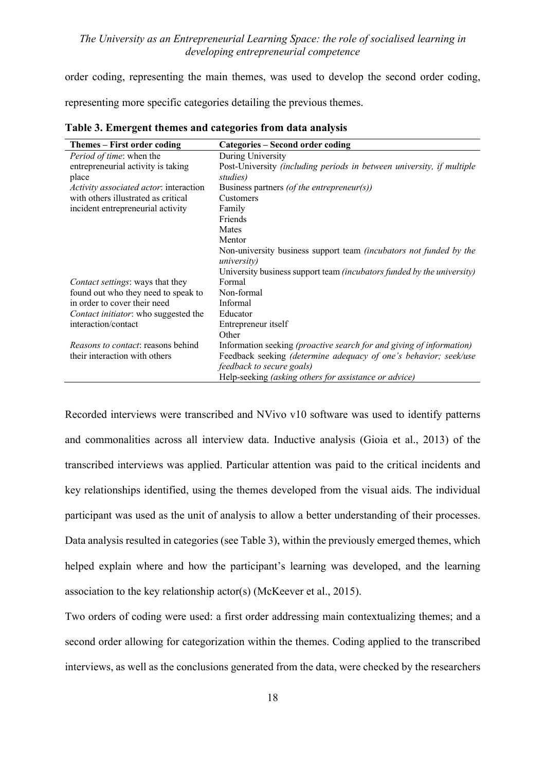order coding, representing the main themes, was used to develop the second order coding,

representing more specific categories detailing the previous themes.

| Themes – First order coding               | Categories – Second order coding                                                                 |
|-------------------------------------------|--------------------------------------------------------------------------------------------------|
| Period of time: when the                  | During University                                                                                |
| entrepreneurial activity is taking        | Post-University (including periods in between university, if multiple                            |
| place                                     | studies)                                                                                         |
| Activity associated actor: interaction    | Business partners (of the entrepreneur(s))                                                       |
| with others illustrated as critical       | Customers                                                                                        |
| incident entrepreneurial activity         | Family                                                                                           |
|                                           | Friends                                                                                          |
|                                           | Mates                                                                                            |
|                                           | Mentor                                                                                           |
|                                           | Non-university business support team <i>(incubators not funded by the</i><br><i>university</i> ) |
|                                           | University business support team (incubators funded by the university)                           |
| <i>Contact settings:</i> ways that they   | Formal                                                                                           |
| found out who they need to speak to       | Non-formal                                                                                       |
| in order to cover their need              | Informal                                                                                         |
| Contact initiator: who suggested the      | Educator                                                                                         |
| interaction/contact                       | Entrepreneur itself                                                                              |
|                                           | Other                                                                                            |
| <i>Reasons to contact:</i> reasons behind | Information seeking (proactive search for and giving of information)                             |
| their interaction with others             | Feedback seeking <i>(determine adequacy of one's behavior; seek/use</i>                          |
|                                           | <i>feedback to secure goals)</i>                                                                 |
|                                           | Help-seeking (asking others for assistance or advice)                                            |

**Table 3. Emergent themes and categories from data analysis**

Recorded interviews were transcribed and NVivo v10 software was used to identify patterns and commonalities across all interview data. Inductive analysis (Gioia et al., 2013) of the transcribed interviews was applied. Particular attention was paid to the critical incidents and key relationships identified, using the themes developed from the visual aids. The individual participant was used as the unit of analysis to allow a better understanding of their processes. Data analysis resulted in categories (see Table 3), within the previously emerged themes, which helped explain where and how the participant's learning was developed, and the learning association to the key relationship actor(s) (McKeever et al., 2015).

Two orders of coding were used: a first order addressing main contextualizing themes; and a second order allowing for categorization within the themes. Coding applied to the transcribed interviews, as well as the conclusions generated from the data, were checked by the researchers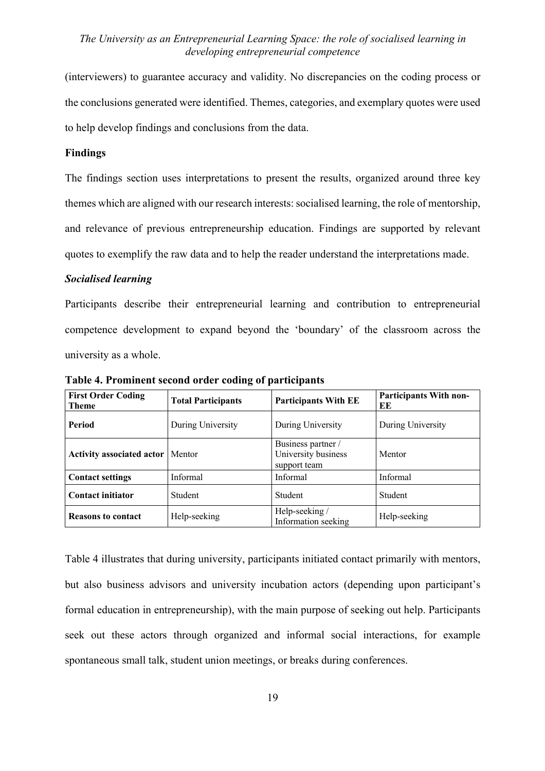(interviewers) to guarantee accuracy and validity. No discrepancies on the coding process or the conclusions generated were identified. Themes, categories, and exemplary quotes were used to help develop findings and conclusions from the data.

#### **Findings**

The findings section uses interpretations to present the results, organized around three key themes which are aligned with our research interests: socialised learning, the role of mentorship, and relevance of previous entrepreneurship education. Findings are supported by relevant quotes to exemplify the raw data and to help the reader understand the interpretations made.

#### *Socialised learning*

Participants describe their entrepreneurial learning and contribution to entrepreneurial competence development to expand beyond the 'boundary' of the classroom across the university as a whole.

| <b>First Order Coding</b><br><b>Theme</b> | <b>Total Participants</b> | <b>Participants With EE</b>                               | <b>Participants With non-</b><br>ЕE |
|-------------------------------------------|---------------------------|-----------------------------------------------------------|-------------------------------------|
| Period                                    | During University         | During University                                         | During University                   |
| <b>Activity associated actor</b>          | Mentor                    | Business partner /<br>University business<br>support team | Mentor                              |
| <b>Contact settings</b>                   | Informal                  | Informal                                                  | Informal                            |
| <b>Contact initiator</b>                  | Student                   | Student                                                   | Student                             |
| <b>Reasons to contact</b>                 | Help-seeking              | Help-seeking/<br>Information seeking                      | Help-seeking                        |

**Table 4. Prominent second order coding of participants**

Table 4 illustrates that during university, participants initiated contact primarily with mentors, but also business advisors and university incubation actors (depending upon participant's formal education in entrepreneurship), with the main purpose of seeking out help. Participants seek out these actors through organized and informal social interactions, for example spontaneous small talk, student union meetings, or breaks during conferences.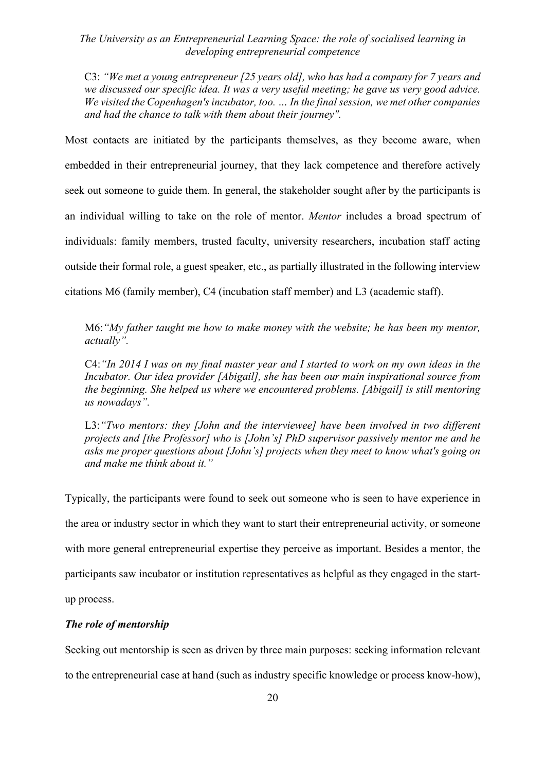C3: *"We met a young entrepreneur [25 years old], who has had a company for 7 years and we discussed our specific idea. It was a very useful meeting; he gave us very good advice. We visited the Copenhagen's incubator, too. … In the final session, we met other companies and had the chance to talk with them about their journey".*

Most contacts are initiated by the participants themselves, as they become aware, when embedded in their entrepreneurial journey, that they lack competence and therefore actively seek out someone to guide them. In general, the stakeholder sought after by the participants is an individual willing to take on the role of mentor. *Mentor* includes a broad spectrum of individuals: family members, trusted faculty, university researchers, incubation staff acting outside their formal role, a guest speaker, etc., as partially illustrated in the following interview citations M6 (family member), C4 (incubation staff member) and L3 (academic staff).

M6:*"My father taught me how to make money with the website; he has been my mentor, actually".*

C4:*"In 2014 I was on my final master year and I started to work on my own ideas in the Incubator. Our idea provider [Abigail], she has been our main inspirational source from the beginning. She helped us where we encountered problems. [Abigail] is still mentoring us nowadays".*

L3: "Two mentors: they *[John and the interviewee] have been involved in two different projects and [the Professor] who is [John's] PhD supervisor passively mentor me and he asks me proper questions about [John's] projects when they meet to know what's going on and make me think about it."*

Typically, the participants were found to seek out someone who is seen to have experience in the area or industry sector in which they want to start their entrepreneurial activity, or someone with more general entrepreneurial expertise they perceive as important. Besides a mentor, the participants saw incubator or institution representatives as helpful as they engaged in the startup process.

#### *The role of mentorship*

Seeking out mentorship is seen as driven by three main purposes: seeking information relevant to the entrepreneurial case at hand (such as industry specific knowledge or process know-how),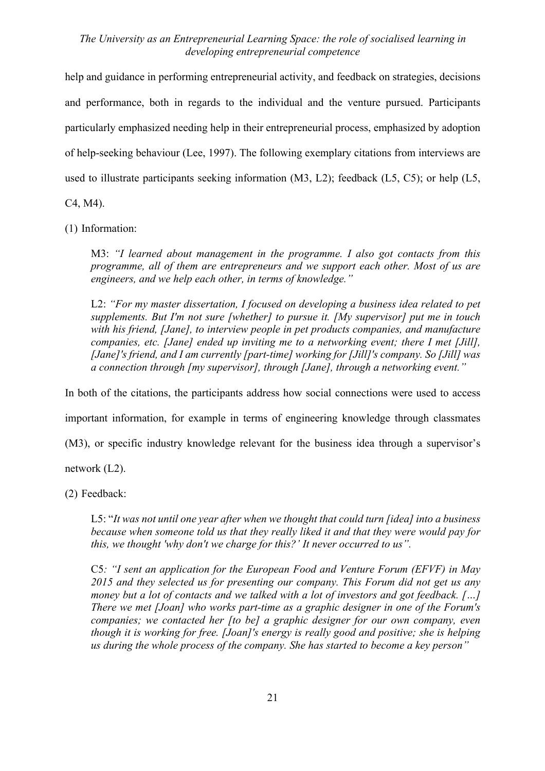help and guidance in performing entrepreneurial activity, and feedback on strategies, decisions and performance, both in regards to the individual and the venture pursued. Participants particularly emphasized needing help in their entrepreneurial process, emphasized by adoption of help-seeking behaviour (Lee, 1997). The following exemplary citations from interviews are used to illustrate participants seeking information (M3, L2); feedback (L5, C5); or help (L5,

C4, M4).

(1) Information:

M3: *"I learned about management in the programme. I also got contacts from this programme, all of them are entrepreneurs and we support each other. Most of us are engineers, and we help each other, in terms of knowledge."*

L2: "For my master dissertation, I focused on developing a business idea related to pet *supplements. But I'm not sure [whether] to pursue it. [My supervisor] put me in touch with his friend, [Jane], to interview people in pet products companies, and manufacture companies, etc. [Jane] ended up inviting me to a networking event; there I met [Jill], [Jane]'s friend, and I am currently [part-time] working for [Jill]'s company. So [Jill] was a connection through [my supervisor], through [Jane], through a networking event."*

In both of the citations, the participants address how social connections were used to access

important information, for example in terms of engineering knowledge through classmates

(M3), or specific industry knowledge relevant for the business idea through a supervisor's

network (L2).

(2) Feedback:

L5: "*It was not until one year after when we thought that could turn [idea] into a business because when someone told us that they really liked it and that they were would pay for this, we thought 'why don't we charge for this?' It never occurred to us".*

C5*: "I sent an application for the European Food and Venture Forum (EFVF) in May 2015 and they selected us for presenting our company. This Forum did not get us any money but a lot of contacts and we talked with a lot of investors and got feedback. […] There we met [Joan] who works part-time as a graphic designer in one of the Forum's companies; we contacted her [to be] a graphic designer for our own company, even though it is working for free. [Joan]'s energy is really good and positive; she is helping us during the whole process of the company. She has started to become a key person"*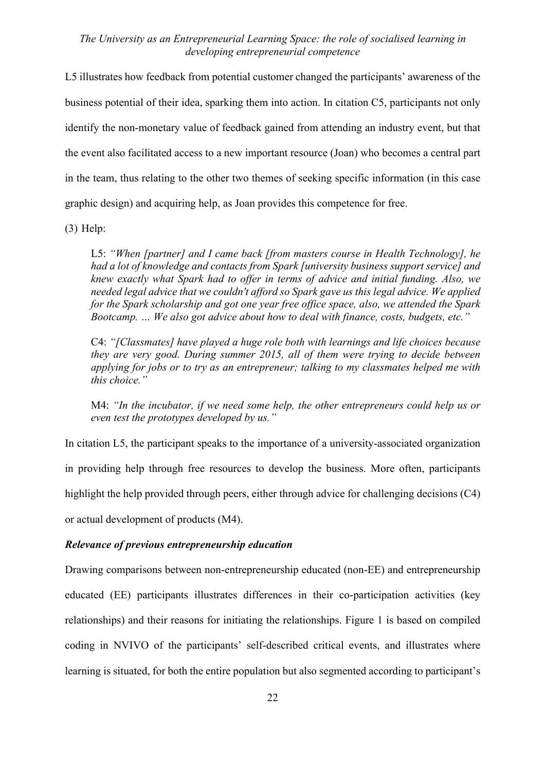L5 illustrates how feedback from potential customer changed the participants' awareness of the business potential of their idea, sparking them into action. In citation C5, participants not only identify the non-monetary value of feedback gained from attending an industry event, but that the event also facilitated access to a new important resource (Joan) who becomes a central part in the team, thus relating to the other two themes of seeking specific information (in this case graphic design) and acquiring help, as Joan provides this competence for free.

(3) Help:

L5: *"When [partner] and I came back [from masters course in Health Technology], he had a lot of knowledge and contacts from Spark [university business support service] and knew exactly what Spark had to offer in terms of advice and initial funding. Also, we needed legal advice that we couldn't afford so Spark gave us this legal advice. We applied for the Spark scholarship and got one year free office space, also, we attended the Spark Bootcamp. … We also got advice about how to deal with finance, costs, budgets, etc."*

C4: *"[Classmates] have played a huge role both with learnings and life choices because they are very good. During summer 2015, all of them were trying to decide between applying for jobs or to try as an entrepreneur; talking to my classmates helped me with this choice."*

M4: *"In the incubator, if we need some help, the other entrepreneurs could help us or even test the prototypes developed by us."*

In citation L5, the participant speaks to the importance of a university-associated organization in providing help through free resources to develop the business. More often, participants highlight the help provided through peers, either through advice for challenging decisions (C4) or actual development of products (M4).

#### *Relevance of previous entrepreneurship education*

Drawing comparisons between non-entrepreneurship educated (non-EE) and entrepreneurship educated (EE) participants illustrates differences in their co-participation activities (key relationships) and their reasons for initiating the relationships. Figure 1 is based on compiled coding in NVIVO of the participants' self-described critical events, and illustrates where learning is situated, for both the entire population but also segmented according to participant's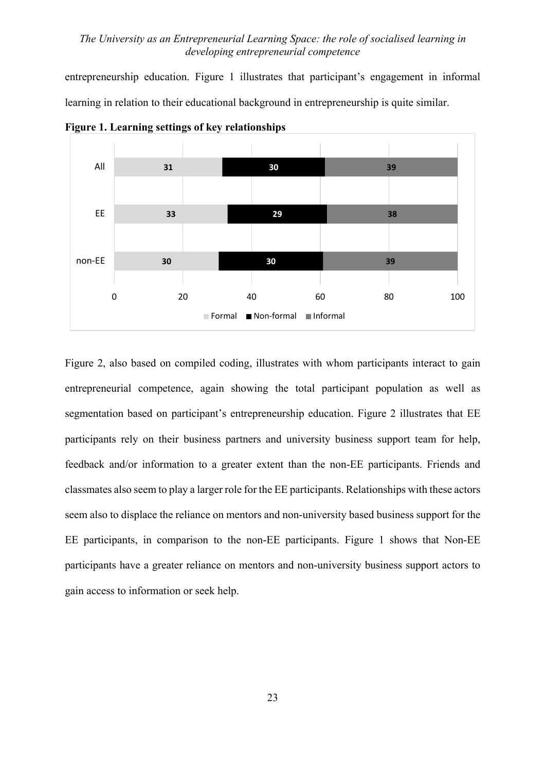entrepreneurship education. Figure 1 illustrates that participant's engagement in informal learning in relation to their educational background in entrepreneurship is quite similar.



**Figure 1. Learning settings of key relationships**

Figure 2, also based on compiled coding, illustrates with whom participants interact to gain entrepreneurial competence, again showing the total participant population as well as segmentation based on participant's entrepreneurship education. Figure 2 illustrates that EE participants rely on their business partners and university business support team for help, feedback and/or information to a greater extent than the non-EE participants. Friends and classmates also seem to play a larger role for the EE participants. Relationships with these actors seem also to displace the reliance on mentors and non-university based business support for the EE participants, in comparison to the non-EE participants. Figure 1 shows that Non-EE participants have a greater reliance on mentors and non-university business support actors to gain access to information or seek help.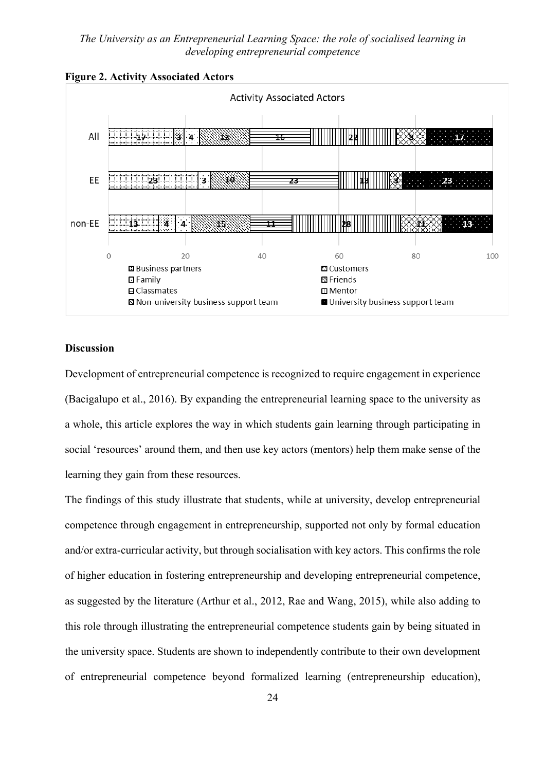



### **Discussion**

Development of entrepreneurial competence is recognized to require engagement in experience (Bacigalupo et al., 2016). By expanding the entrepreneurial learning space to the university as a whole, this article explores the way in which students gain learning through participating in social 'resources' around them, and then use key actors (mentors) help them make sense of the learning they gain from these resources.

The findings of this study illustrate that students, while at university, develop entrepreneurial competence through engagement in entrepreneurship, supported not only by formal education and/or extra-curricular activity, but through socialisation with key actors. This confirms the role of higher education in fostering entrepreneurship and developing entrepreneurial competence, as suggested by the literature (Arthur et al., 2012, Rae and Wang, 2015), while also adding to this role through illustrating the entrepreneurial competence students gain by being situated in the university space. Students are shown to independently contribute to their own development of entrepreneurial competence beyond formalized learning (entrepreneurship education),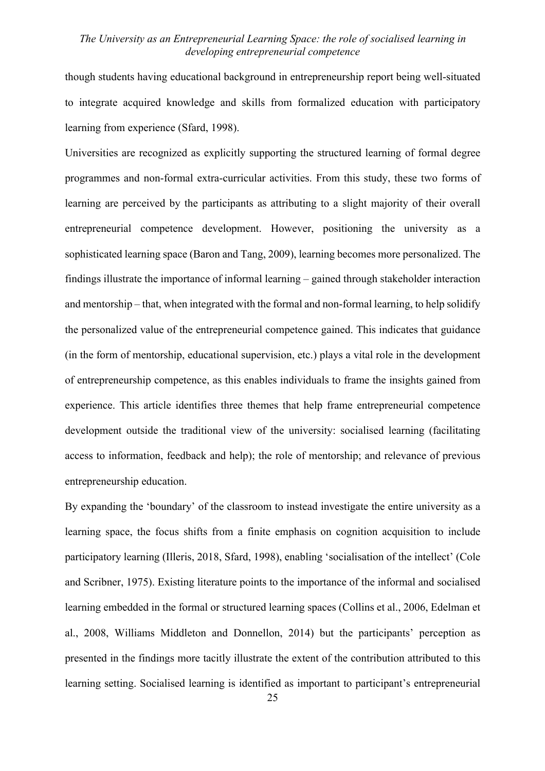though students having educational background in entrepreneurship report being well-situated to integrate acquired knowledge and skills from formalized education with participatory learning from experience (Sfard, 1998).

Universities are recognized as explicitly supporting the structured learning of formal degree programmes and non-formal extra-curricular activities. From this study, these two forms of learning are perceived by the participants as attributing to a slight majority of their overall entrepreneurial competence development. However, positioning the university as a sophisticated learning space (Baron and Tang, 2009), learning becomes more personalized. The findings illustrate the importance of informal learning – gained through stakeholder interaction and mentorship – that, when integrated with the formal and non-formal learning, to help solidify the personalized value of the entrepreneurial competence gained. This indicates that guidance (in the form of mentorship, educational supervision, etc.) plays a vital role in the development of entrepreneurship competence, as this enables individuals to frame the insights gained from experience. This article identifies three themes that help frame entrepreneurial competence development outside the traditional view of the university: socialised learning (facilitating access to information, feedback and help); the role of mentorship; and relevance of previous entrepreneurship education.

By expanding the 'boundary' of the classroom to instead investigate the entire university as a learning space, the focus shifts from a finite emphasis on cognition acquisition to include participatory learning (Illeris, 2018, Sfard, 1998), enabling 'socialisation of the intellect' (Cole and Scribner, 1975). Existing literature points to the importance of the informal and socialised learning embedded in the formal or structured learning spaces (Collins et al., 2006, Edelman et al., 2008, Williams Middleton and Donnellon, 2014) but the participants' perception as presented in the findings more tacitly illustrate the extent of the contribution attributed to this learning setting. Socialised learning is identified as important to participant's entrepreneurial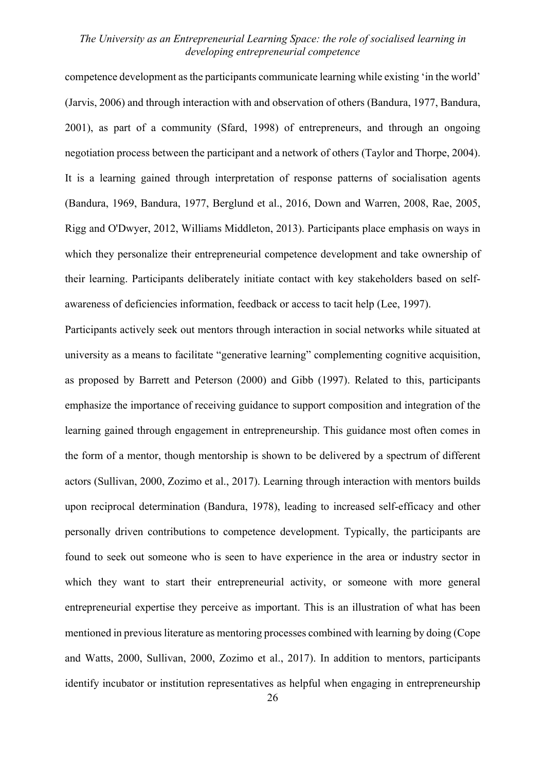competence development asthe participants communicate learning while existing 'in the world' (Jarvis, 2006) and through interaction with and observation of others (Bandura, 1977, Bandura, 2001), as part of a community (Sfard, 1998) of entrepreneurs, and through an ongoing negotiation process between the participant and a network of others (Taylor and Thorpe, 2004). It is a learning gained through interpretation of response patterns of socialisation agents (Bandura, 1969, Bandura, 1977, Berglund et al., 2016, Down and Warren, 2008, Rae, 2005, Rigg and O'Dwyer, 2012, Williams Middleton, 2013). Participants place emphasis on ways in which they personalize their entrepreneurial competence development and take ownership of their learning. Participants deliberately initiate contact with key stakeholders based on selfawareness of deficiencies information, feedback or access to tacit help (Lee, 1997).

Participants actively seek out mentors through interaction in social networks while situated at university as a means to facilitate "generative learning" complementing cognitive acquisition, as proposed by Barrett and Peterson (2000) and Gibb (1997). Related to this, participants emphasize the importance of receiving guidance to support composition and integration of the learning gained through engagement in entrepreneurship. This guidance most often comes in the form of a mentor, though mentorship is shown to be delivered by a spectrum of different actors (Sullivan, 2000, Zozimo et al., 2017). Learning through interaction with mentors builds upon reciprocal determination (Bandura, 1978), leading to increased self-efficacy and other personally driven contributions to competence development. Typically, the participants are found to seek out someone who is seen to have experience in the area or industry sector in which they want to start their entrepreneurial activity, or someone with more general entrepreneurial expertise they perceive as important. This is an illustration of what has been mentioned in previous literature as mentoring processes combined with learning by doing (Cope and Watts, 2000, Sullivan, 2000, Zozimo et al., 2017). In addition to mentors, participants identify incubator or institution representatives as helpful when engaging in entrepreneurship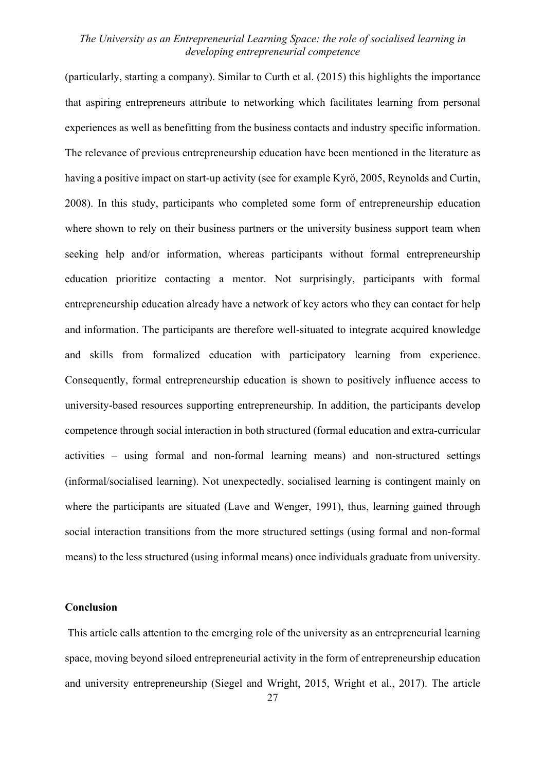(particularly, starting a company). Similar to Curth et al. (2015) this highlights the importance that aspiring entrepreneurs attribute to networking which facilitates learning from personal experiences as well as benefitting from the business contacts and industry specific information. The relevance of previous entrepreneurship education have been mentioned in the literature as having a positive impact on start-up activity (see for example Kyrö, 2005, Reynolds and Curtin, 2008). In this study, participants who completed some form of entrepreneurship education where shown to rely on their business partners or the university business support team when seeking help and/or information, whereas participants without formal entrepreneurship education prioritize contacting a mentor. Not surprisingly, participants with formal entrepreneurship education already have a network of key actors who they can contact for help and information. The participants are therefore well-situated to integrate acquired knowledge and skills from formalized education with participatory learning from experience. Consequently, formal entrepreneurship education is shown to positively influence access to university-based resources supporting entrepreneurship. In addition, the participants develop competence through social interaction in both structured (formal education and extra-curricular activities – using formal and non-formal learning means) and non-structured settings (informal/socialised learning). Not unexpectedly, socialised learning is contingent mainly on where the participants are situated (Lave and Wenger, 1991), thus, learning gained through social interaction transitions from the more structured settings (using formal and non-formal means) to the less structured (using informal means) once individuals graduate from university.

### **Conclusion**

This article calls attention to the emerging role of the university as an entrepreneurial learning space, moving beyond siloed entrepreneurial activity in the form of entrepreneurship education and university entrepreneurship (Siegel and Wright, 2015, Wright et al., 2017). The article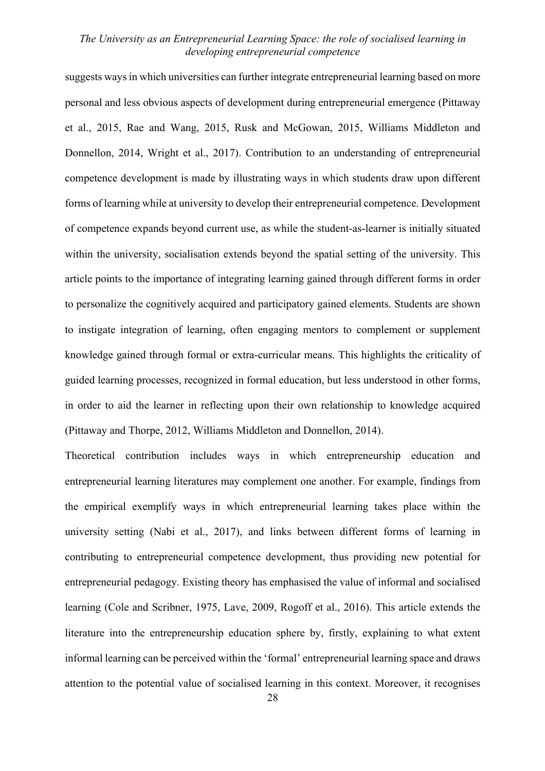suggests ways in which universities can further integrate entrepreneurial learning based on more personal and less obvious aspects of development during entrepreneurial emergence (Pittaway et al., 2015, Rae and Wang, 2015, Rusk and McGowan, 2015, Williams Middleton and Donnellon, 2014, Wright et al., 2017). Contribution to an understanding of entrepreneurial competence development is made by illustrating ways in which students draw upon different forms of learning while at university to develop their entrepreneurial competence. Development of competence expands beyond current use, as while the student-as-learner is initially situated within the university, socialisation extends beyond the spatial setting of the university. This article points to the importance of integrating learning gained through different forms in order to personalize the cognitively acquired and participatory gained elements. Students are shown to instigate integration of learning, often engaging mentors to complement or supplement knowledge gained through formal or extra-curricular means. This highlights the criticality of guided learning processes, recognized in formal education, but less understood in other forms, in order to aid the learner in reflecting upon their own relationship to knowledge acquired (Pittaway and Thorpe, 2012, Williams Middleton and Donnellon, 2014).

Theoretical contribution includes ways in which entrepreneurship education and entrepreneurial learning literatures may complement one another. For example, findings from the empirical exemplify ways in which entrepreneurial learning takes place within the university setting (Nabi et al., 2017), and links between different forms of learning in contributing to entrepreneurial competence development, thus providing new potential for entrepreneurial pedagogy. Existing theory has emphasised the value of informal and socialised learning (Cole and Scribner, 1975, Lave, 2009, Rogoff et al., 2016). This article extends the literature into the entrepreneurship education sphere by, firstly, explaining to what extent informal learning can be perceived within the 'formal' entrepreneurial learning space and draws attention to the potential value of socialised learning in this context. Moreover, it recognises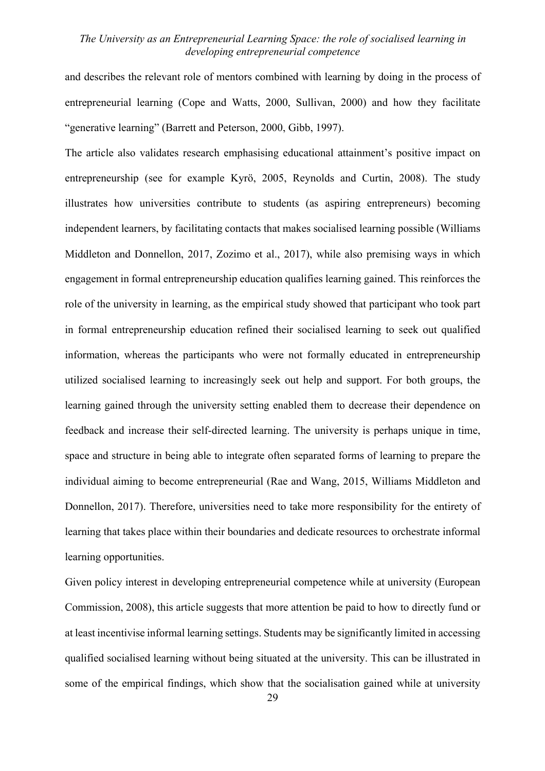and describes the relevant role of mentors combined with learning by doing in the process of entrepreneurial learning (Cope and Watts, 2000, Sullivan, 2000) and how they facilitate "generative learning" (Barrett and Peterson, 2000, Gibb, 1997).

The article also validates research emphasising educational attainment's positive impact on entrepreneurship (see for example Kyrö, 2005, Reynolds and Curtin, 2008). The study illustrates how universities contribute to students (as aspiring entrepreneurs) becoming independent learners, by facilitating contacts that makes socialised learning possible (Williams Middleton and Donnellon, 2017, Zozimo et al., 2017), while also premising ways in which engagement in formal entrepreneurship education qualifies learning gained. This reinforces the role of the university in learning, as the empirical study showed that participant who took part in formal entrepreneurship education refined their socialised learning to seek out qualified information, whereas the participants who were not formally educated in entrepreneurship utilized socialised learning to increasingly seek out help and support. For both groups, the learning gained through the university setting enabled them to decrease their dependence on feedback and increase their self-directed learning. The university is perhaps unique in time, space and structure in being able to integrate often separated forms of learning to prepare the individual aiming to become entrepreneurial (Rae and Wang, 2015, Williams Middleton and Donnellon, 2017). Therefore, universities need to take more responsibility for the entirety of learning that takes place within their boundaries and dedicate resources to orchestrate informal learning opportunities.

Given policy interest in developing entrepreneurial competence while at university (European Commission, 2008), this article suggests that more attention be paid to how to directly fund or at least incentivise informal learning settings. Students may be significantly limited in accessing qualified socialised learning without being situated at the university. This can be illustrated in some of the empirical findings, which show that the socialisation gained while at university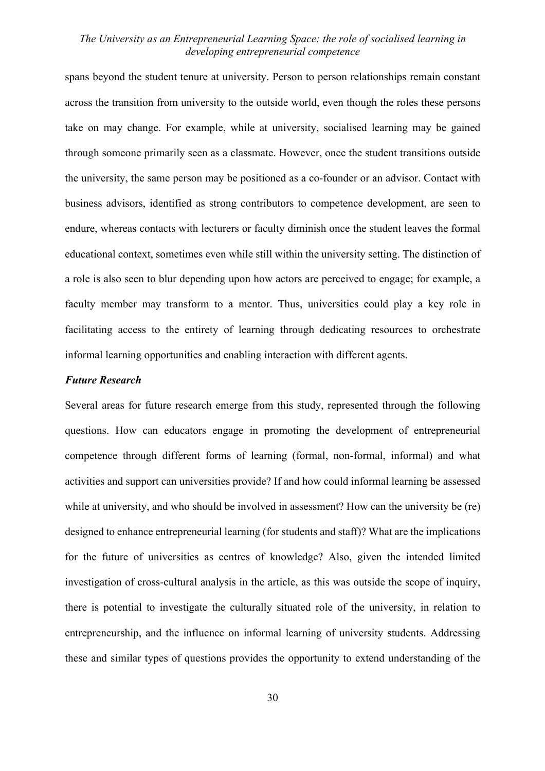spans beyond the student tenure at university. Person to person relationships remain constant across the transition from university to the outside world, even though the roles these persons take on may change. For example, while at university, socialised learning may be gained through someone primarily seen as a classmate. However, once the student transitions outside the university, the same person may be positioned as a co-founder or an advisor. Contact with business advisors, identified as strong contributors to competence development, are seen to endure, whereas contacts with lecturers or faculty diminish once the student leaves the formal educational context, sometimes even while still within the university setting. The distinction of a role is also seen to blur depending upon how actors are perceived to engage; for example, a faculty member may transform to a mentor. Thus, universities could play a key role in facilitating access to the entirety of learning through dedicating resources to orchestrate informal learning opportunities and enabling interaction with different agents.

#### *Future Research*

Several areas for future research emerge from this study, represented through the following questions. How can educators engage in promoting the development of entrepreneurial competence through different forms of learning (formal, non-formal, informal) and what activities and support can universities provide? If and how could informal learning be assessed while at university, and who should be involved in assessment? How can the university be (re) designed to enhance entrepreneurial learning (for students and staff)? What are the implications for the future of universities as centres of knowledge? Also, given the intended limited investigation of cross-cultural analysis in the article, as this was outside the scope of inquiry, there is potential to investigate the culturally situated role of the university, in relation to entrepreneurship, and the influence on informal learning of university students. Addressing these and similar types of questions provides the opportunity to extend understanding of the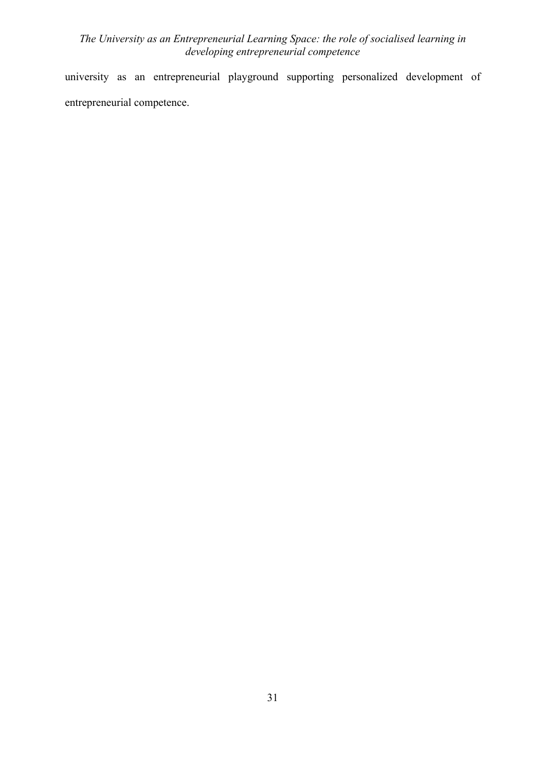university as an entrepreneurial playground supporting personalized development of entrepreneurial competence.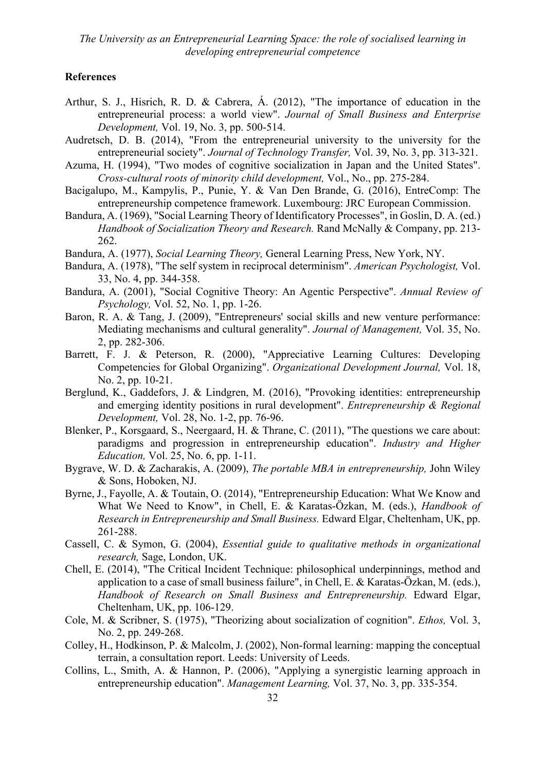#### **References**

- Arthur, S. J., Hisrich, R. D. & Cabrera, Á. (2012), "The importance of education in the entrepreneurial process: a world view". *Journal of Small Business and Enterprise Development,* Vol. 19, No. 3, pp. 500-514.
- Audretsch, D. B. (2014), "From the entrepreneurial university to the university for the entrepreneurial society". *Journal of Technology Transfer,* Vol. 39, No. 3, pp. 313-321.
- Azuma, H. (1994), "Two modes of cognitive socialization in Japan and the United States". *Cross-cultural roots of minority child development,* Vol., No., pp. 275-284.
- Bacigalupo, M., Kampylis, P., Punie, Y. & Van Den Brande, G. (2016), EntreComp: The entrepreneurship competence framework. Luxembourg: JRC European Commission.
- Bandura, A. (1969), "Social Learning Theory of Identificatory Processes", in Goslin, D. A. (ed.) *Handbook of Socialization Theory and Research.* Rand McNally & Company, pp. 213- 262.
- Bandura, A. (1977), *Social Learning Theory,* General Learning Press, New York, NY.
- Bandura, A. (1978), "The self system in reciprocal determinism". *American Psychologist,* Vol. 33, No. 4, pp. 344-358.
- Bandura, A. (2001), "Social Cognitive Theory: An Agentic Perspective". *Annual Review of Psychology,* Vol. 52, No. 1, pp. 1-26.
- Baron, R. A. & Tang, J. (2009), "Entrepreneurs' social skills and new venture performance: Mediating mechanisms and cultural generality". *Journal of Management,* Vol. 35, No. 2, pp. 282-306.
- Barrett, F. J. & Peterson, R. (2000), "Appreciative Learning Cultures: Developing Competencies for Global Organizing". *Organizational Development Journal,* Vol. 18, No. 2, pp. 10-21.
- Berglund, K., Gaddefors, J. & Lindgren, M. (2016), "Provoking identities: entrepreneurship and emerging identity positions in rural development". *Entrepreneurship & Regional Development,* Vol. 28, No. 1-2, pp. 76-96.
- Blenker, P., Korsgaard, S., Neergaard, H. & Thrane, C. (2011), "The questions we care about: paradigms and progression in entrepreneurship education". *Industry and Higher Education,* Vol. 25, No. 6, pp. 1-11.
- Bygrave, W. D. & Zacharakis, A. (2009), *The portable MBA in entrepreneurship,* John Wiley & Sons, Hoboken, NJ.
- Byrne, J., Fayolle, A. & Toutain, O. (2014), "Entrepreneurship Education: What We Know and What We Need to Know", in Chell, E. & Karatas-Özkan, M. (eds.), *Handbook of Research in Entrepreneurship and Small Business.* Edward Elgar, Cheltenham, UK, pp. 261-288.
- Cassell, C. & Symon, G. (2004), *Essential guide to qualitative methods in organizational research,* Sage, London, UK.
- Chell, E. (2014), "The Critical Incident Technique: philosophical underpinnings, method and application to a case of small business failure", in Chell, E. & Karatas-Özkan, M. (eds.), *Handbook of Research on Small Business and Entrepreneurship.* Edward Elgar, Cheltenham, UK, pp. 106-129.
- Cole, M. & Scribner, S. (1975), "Theorizing about socialization of cognition". *Ethos,* Vol. 3, No. 2, pp. 249-268.
- Colley, H., Hodkinson, P. & Malcolm, J. (2002), Non-formal learning: mapping the conceptual terrain, a consultation report. Leeds: University of Leeds.
- Collins, L., Smith, A. & Hannon, P. (2006), "Applying a synergistic learning approach in entrepreneurship education". *Management Learning,* Vol. 37, No. 3, pp. 335-354.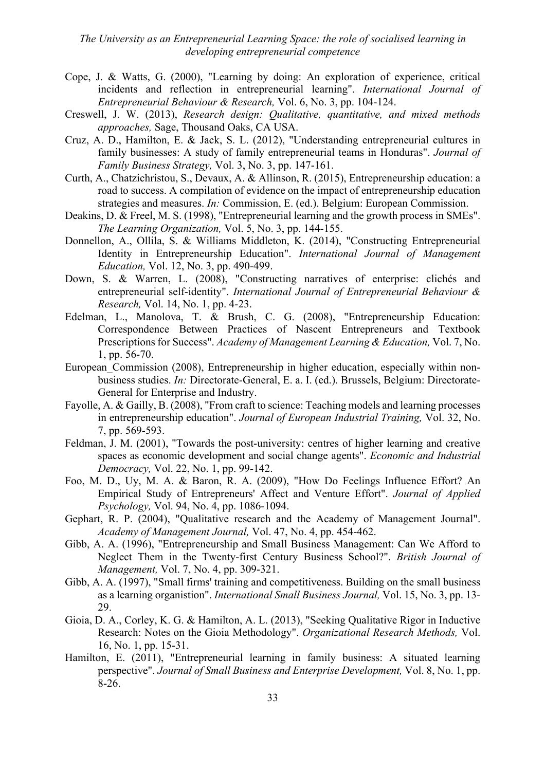- Cope, J. & Watts, G. (2000), "Learning by doing: An exploration of experience, critical incidents and reflection in entrepreneurial learning". *International Journal of Entrepreneurial Behaviour & Research,* Vol. 6, No. 3, pp. 104-124.
- Creswell, J. W. (2013), *Research design: Qualitative, quantitative, and mixed methods approaches,* Sage, Thousand Oaks, CA USA.
- Cruz, A. D., Hamilton, E. & Jack, S. L. (2012), "Understanding entrepreneurial cultures in family businesses: A study of family entrepreneurial teams in Honduras". *Journal of Family Business Strategy,* Vol. 3, No. 3, pp. 147-161.
- Curth, A., Chatzichristou, S., Devaux, A. & Allinson, R. (2015), Entrepreneurship education: a road to success. A compilation of evidence on the impact of entrepreneurship education strategies and measures. *In:* Commission, E. (ed.). Belgium: European Commission.
- Deakins, D. & Freel, M. S. (1998), "Entrepreneurial learning and the growth process in SMEs". *The Learning Organization,* Vol. 5, No. 3, pp. 144-155.
- Donnellon, A., Ollila, S. & Williams Middleton, K. (2014), "Constructing Entrepreneurial Identity in Entrepreneurship Education". *International Journal of Management Education,* Vol. 12, No. 3, pp. 490-499.
- Down, S. & Warren, L. (2008), "Constructing narratives of enterprise: clichés and entrepreneurial self-identity". *International Journal of Entrepreneurial Behaviour & Research,* Vol. 14, No. 1, pp. 4-23.
- Edelman, L., Manolova, T. & Brush, C. G. (2008), "Entrepreneurship Education: Correspondence Between Practices of Nascent Entrepreneurs and Textbook Prescriptions for Success". *Academy of Management Learning & Education,* Vol. 7, No. 1, pp. 56-70.
- European Commission (2008), Entrepreneurship in higher education, especially within nonbusiness studies. *In:* Directorate-General, E. a. I. (ed.). Brussels, Belgium: Directorate-General for Enterprise and Industry.
- Fayolle, A. & Gailly, B. (2008), "From craft to science: Teaching models and learning processes in entrepreneurship education". *Journal of European Industrial Training,* Vol. 32, No. 7, pp. 569-593.
- Feldman, J. M. (2001), "Towards the post-university: centres of higher learning and creative spaces as economic development and social change agents". *Economic and Industrial Democracy,* Vol. 22, No. 1, pp. 99-142.
- Foo, M. D., Uy, M. A. & Baron, R. A. (2009), "How Do Feelings Influence Effort? An Empirical Study of Entrepreneurs' Affect and Venture Effort". *Journal of Applied Psychology,* Vol. 94, No. 4, pp. 1086-1094.
- Gephart, R. P. (2004), "Qualitative research and the Academy of Management Journal". *Academy of Management Journal,* Vol. 47, No. 4, pp. 454-462.
- Gibb, A. A. (1996), "Entrepreneurship and Small Business Management: Can We Afford to Neglect Them in the Twenty-first Century Business School?". *British Journal of Management,* Vol. 7, No. 4, pp. 309-321.
- Gibb, A. A. (1997), "Small firms' training and competitiveness. Building on the small business as a learning organistion". *International Small Business Journal,* Vol. 15, No. 3, pp. 13- 29.
- Gioia, D. A., Corley, K. G. & Hamilton, A. L. (2013), "Seeking Qualitative Rigor in Inductive Research: Notes on the Gioia Methodology". *Organizational Research Methods,* Vol. 16, No. 1, pp. 15-31.
- Hamilton, E. (2011), "Entrepreneurial learning in family business: A situated learning perspective". *Journal of Small Business and Enterprise Development,* Vol. 8, No. 1, pp. 8-26.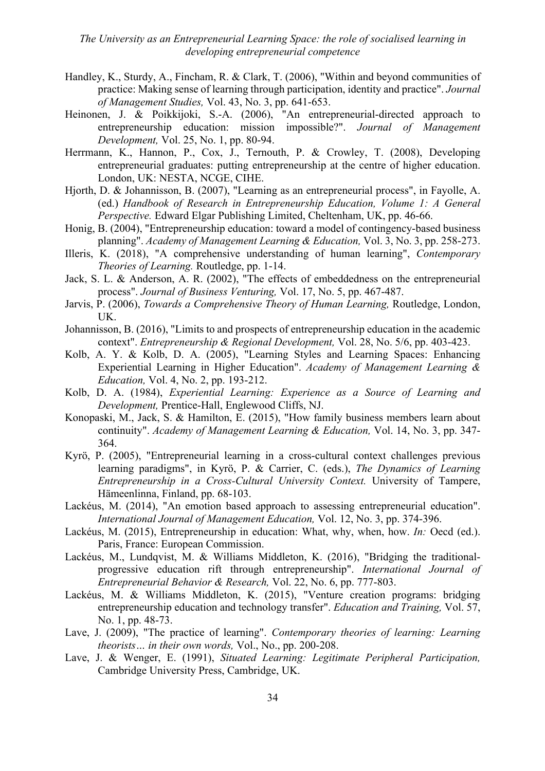- Handley, K., Sturdy, A., Fincham, R. & Clark, T. (2006), "Within and beyond communities of practice: Making sense of learning through participation, identity and practice". *Journal of Management Studies,* Vol. 43, No. 3, pp. 641-653.
- Heinonen, J. & Poikkijoki, S.-A. (2006), "An entrepreneurial-directed approach to entrepreneurship education: mission impossible?". *Journal of Management Development,* Vol. 25, No. 1, pp. 80-94.
- Herrmann, K., Hannon, P., Cox, J., Ternouth, P. & Crowley, T. (2008), Developing entrepreneurial graduates: putting entrepreneurship at the centre of higher education. London, UK: NESTA, NCGE, CIHE.
- Hjorth, D. & Johannisson, B. (2007), "Learning as an entrepreneurial process", in Fayolle, A. (ed.) *Handbook of Research in Entrepreneurship Education, Volume 1: A General Perspective.* Edward Elgar Publishing Limited, Cheltenham, UK, pp. 46-66.
- Honig, B. (2004), "Entrepreneurship education: toward a model of contingency-based business planning". *Academy of Management Learning & Education,* Vol. 3, No. 3, pp. 258-273.
- Illeris, K. (2018), "A comprehensive understanding of human learning", *Contemporary Theories of Learning.* Routledge, pp. 1-14.
- Jack, S. L. & Anderson, A. R. (2002), "The effects of embeddedness on the entrepreneurial process". *Journal of Business Venturing,* Vol. 17, No. 5, pp. 467-487.
- Jarvis, P. (2006), *Towards a Comprehensive Theory of Human Learning,* Routledge, London, UK.
- Johannisson, B. (2016), "Limits to and prospects of entrepreneurship education in the academic context". *Entrepreneurship & Regional Development,* Vol. 28, No. 5/6, pp. 403-423.
- Kolb, A. Y. & Kolb, D. A. (2005), "Learning Styles and Learning Spaces: Enhancing Experiential Learning in Higher Education". *Academy of Management Learning & Education,* Vol. 4, No. 2, pp. 193-212.
- Kolb, D. A. (1984), *Experiential Learning: Experience as a Source of Learning and Development,* Prentice-Hall, Englewood Cliffs, NJ.
- Konopaski, M., Jack, S. & Hamilton, E. (2015), "How family business members learn about continuity". *Academy of Management Learning & Education,* Vol. 14, No. 3, pp. 347- 364.
- Kyrö, P. (2005), "Entrepreneurial learning in a cross-cultural context challenges previous learning paradigms", in Kyrö, P. & Carrier, C. (eds.), *The Dynamics of Learning Entrepreneurship in a Cross-Cultural University Context.* University of Tampere, Hämeenlinna, Finland, pp. 68-103.
- Lackéus, M. (2014), "An emotion based approach to assessing entrepreneurial education". *International Journal of Management Education,* Vol. 12, No. 3, pp. 374-396.
- Lackéus, M. (2015), Entrepreneurship in education: What, why, when, how. *In:* Oecd (ed.). Paris, France: European Commission.
- Lackéus, M., Lundqvist, M. & Williams Middleton, K. (2016), "Bridging the traditionalprogressive education rift through entrepreneurship". *International Journal of Entrepreneurial Behavior & Research,* Vol. 22, No. 6, pp. 777-803.
- Lackéus, M. & Williams Middleton, K. (2015), "Venture creation programs: bridging entrepreneurship education and technology transfer". *Education and Training,* Vol. 57, No. 1, pp. 48-73.
- Lave, J. (2009), "The practice of learning". *Contemporary theories of learning: Learning theorists… in their own words,* Vol., No., pp. 200-208.
- Lave, J. & Wenger, E. (1991), *Situated Learning: Legitimate Peripheral Participation,* Cambridge University Press, Cambridge, UK.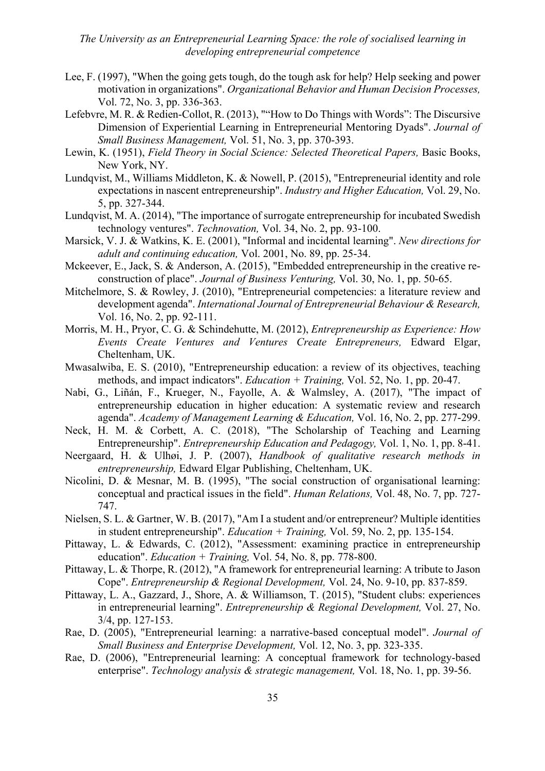- Lee, F. (1997), "When the going gets tough, do the tough ask for help? Help seeking and power motivation in organizations". *Organizational Behavior and Human Decision Processes,* Vol. 72, No. 3, pp. 336-363.
- Lefebvre, M. R. & Redien-Collot, R. (2013), ""How to Do Things with Words": The Discursive Dimension of Experiential Learning in Entrepreneurial Mentoring Dyads". *Journal of Small Business Management,* Vol. 51, No. 3, pp. 370-393.
- Lewin, K. (1951), *Field Theory in Social Science: Selected Theoretical Papers,* Basic Books, New York, NY.
- Lundqvist, M., Williams Middleton, K. & Nowell, P. (2015), "Entrepreneurial identity and role expectations in nascent entrepreneurship". *Industry and Higher Education,* Vol. 29, No. 5, pp. 327-344.
- Lundqvist, M. A. (2014), "The importance of surrogate entrepreneurship for incubated Swedish technology ventures". *Technovation,* Vol. 34, No. 2, pp. 93-100.
- Marsick, V. J. & Watkins, K. E. (2001), "Informal and incidental learning". *New directions for adult and continuing education,* Vol. 2001, No. 89, pp. 25-34.
- Mckeever, E., Jack, S. & Anderson, A. (2015), "Embedded entrepreneurship in the creative reconstruction of place". *Journal of Business Venturing,* Vol. 30, No. 1, pp. 50-65.
- Mitchelmore, S. & Rowley, J. (2010), "Entrepreneurial competencies: a literature review and development agenda". *International Journal of Entrepreneurial Behaviour & Research,* Vol. 16, No. 2, pp. 92-111.
- Morris, M. H., Pryor, C. G. & Schindehutte, M. (2012), *Entrepreneurship as Experience: How Events Create Ventures and Ventures Create Entrepreneurs,* Edward Elgar, Cheltenham, UK.
- Mwasalwiba, E. S. (2010), "Entrepreneurship education: a review of its objectives, teaching methods, and impact indicators". *Education + Training,* Vol. 52, No. 1, pp. 20-47.
- Nabi, G., Liñán, F., Krueger, N., Fayolle, A. & Walmsley, A. (2017), "The impact of entrepreneurship education in higher education: A systematic review and research agenda". *Academy of Management Learning & Education,* Vol. 16, No. 2, pp. 277-299.
- Neck, H. M. & Corbett, A. C. (2018), "The Scholarship of Teaching and Learning Entrepreneurship". *Entrepreneurship Education and Pedagogy,* Vol. 1, No. 1, pp. 8-41.
- Neergaard, H. & Ulhøi, J. P. (2007), *Handbook of qualitative research methods in entrepreneurship,* Edward Elgar Publishing, Cheltenham, UK.
- Nicolini, D. & Mesnar, M. B. (1995), "The social construction of organisational learning: conceptual and practical issues in the field". *Human Relations,* Vol. 48, No. 7, pp. 727- 747.
- Nielsen, S. L. & Gartner, W. B. (2017), "Am I a student and/or entrepreneur? Multiple identities in student entrepreneurship". *Education + Training,* Vol. 59, No. 2, pp. 135-154.
- Pittaway, L. & Edwards, C. (2012), "Assessment: examining practice in entrepreneurship education". *Education + Training,* Vol. 54, No. 8, pp. 778-800.
- Pittaway, L. & Thorpe, R. (2012), "A framework for entrepreneurial learning: A tribute to Jason Cope". *Entrepreneurship & Regional Development,* Vol. 24, No. 9-10, pp. 837-859.
- Pittaway, L. A., Gazzard, J., Shore, A. & Williamson, T. (2015), "Student clubs: experiences in entrepreneurial learning". *Entrepreneurship & Regional Development,* Vol. 27, No. 3/4, pp. 127-153.
- Rae, D. (2005), "Entrepreneurial learning: a narrative-based conceptual model". *Journal of Small Business and Enterprise Development,* Vol. 12, No. 3, pp. 323-335.
- Rae, D. (2006), "Entrepreneurial learning: A conceptual framework for technology-based enterprise". *Technology analysis & strategic management,* Vol. 18, No. 1, pp. 39-56.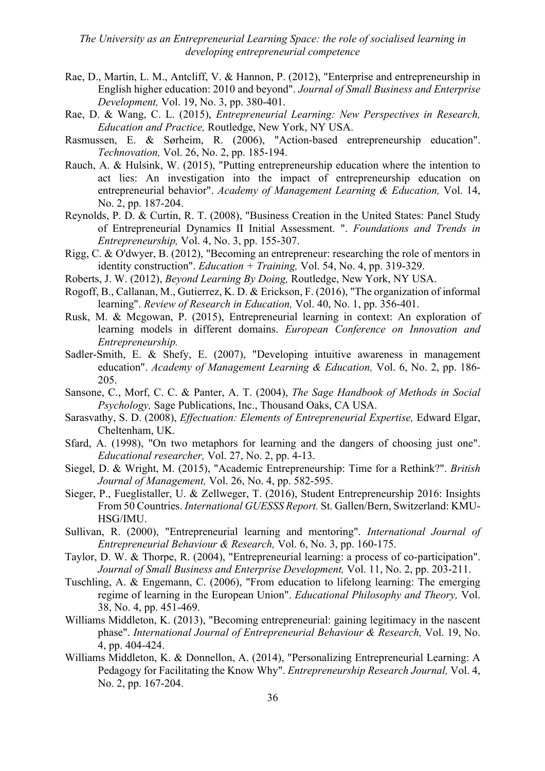- Rae, D., Martin, L. M., Antcliff, V. & Hannon, P. (2012), "Enterprise and entrepreneurship in English higher education: 2010 and beyond". *Journal of Small Business and Enterprise Development,* Vol. 19, No. 3, pp. 380-401.
- Rae, D. & Wang, C. L. (2015), *Entrepreneurial Learning: New Perspectives in Research, Education and Practice,* Routledge, New York, NY USA.
- Rasmussen, E. & Sørheim, R. (2006), "Action-based entrepreneurship education". *Technovation,* Vol. 26, No. 2, pp. 185-194.
- Rauch, A. & Hulsink, W. (2015), "Putting entrepreneurship education where the intention to act lies: An investigation into the impact of entrepreneurship education on entrepreneurial behavior". *Academy of Management Learning & Education,* Vol. 14, No. 2, pp. 187-204.
- Reynolds, P. D. & Curtin, R. T. (2008), "Business Creation in the United States: Panel Study of Entrepreneurial Dynamics II Initial Assessment. ". *Foundations and Trends in Entrepreneurship,* Vol. 4, No. 3, pp. 155-307.
- Rigg, C. & O'dwyer, B. (2012), "Becoming an entrepreneur: researching the role of mentors in identity construction". *Education + Training,* Vol. 54, No. 4, pp. 319-329.
- Roberts, J. W. (2012), *Beyond Learning By Doing,* Routledge, New York, NY USA.
- Rogoff, B., Callanan, M., Gutierrez, K. D. & Erickson, F. (2016), "The organization of informal learning". *Review of Research in Education,* Vol. 40, No. 1, pp. 356-401.
- Rusk, M. & Mcgowan, P. (2015), Entrepreneurial learning in context: An exploration of learning models in different domains. *European Conference on Innovation and Entrepreneurship.*
- Sadler-Smith, E. & Shefy, E. (2007), "Developing intuitive awareness in management education". *Academy of Management Learning & Education,* Vol. 6, No. 2, pp. 186- 205.
- Sansone, C., Morf, C. C. & Panter, A. T. (2004), *The Sage Handbook of Methods in Social Psychology,* Sage Publications, Inc., Thousand Oaks, CA USA.
- Sarasvathy, S. D. (2008), *Effectuation: Elements of Entrepreneurial Expertise,* Edward Elgar, Cheltenham, UK.
- Sfard, A. (1998), "On two metaphors for learning and the dangers of choosing just one". *Educational researcher,* Vol. 27, No. 2, pp. 4-13.
- Siegel, D. & Wright, M. (2015), "Academic Entrepreneurship: Time for a Rethink?". *British Journal of Management,* Vol. 26, No. 4, pp. 582-595.
- Sieger, P., Fueglistaller, U. & Zellweger, T. (2016), Student Entrepreneurship 2016: Insights From 50 Countries. *International GUESSS Report.* St. Gallen/Bern, Switzerland: KMU-HSG/IMU.
- Sullivan, R. (2000), "Entrepreneurial learning and mentoring". *International Journal of Entrepreneurial Behaviour & Research,* Vol. 6, No. 3, pp. 160-175.
- Taylor, D. W. & Thorpe, R. (2004), "Entrepreneurial learning: a process of co-participation". *Journal of Small Business and Enterprise Development,* Vol. 11, No. 2, pp. 203-211.
- Tuschling, A. & Engemann, C. (2006), "From education to lifelong learning: The emerging regime of learning in the European Union". *Educational Philosophy and Theory,* Vol. 38, No. 4, pp. 451-469.
- Williams Middleton, K. (2013), "Becoming entrepreneurial: gaining legitimacy in the nascent phase". *International Journal of Entrepreneurial Behaviour & Research,* Vol. 19, No. 4, pp. 404-424.
- Williams Middleton, K. & Donnellon, A. (2014), "Personalizing Entrepreneurial Learning: A Pedagogy for Facilitating the Know Why". *Entrepreneurship Research Journal,* Vol. 4, No. 2, pp. 167-204.